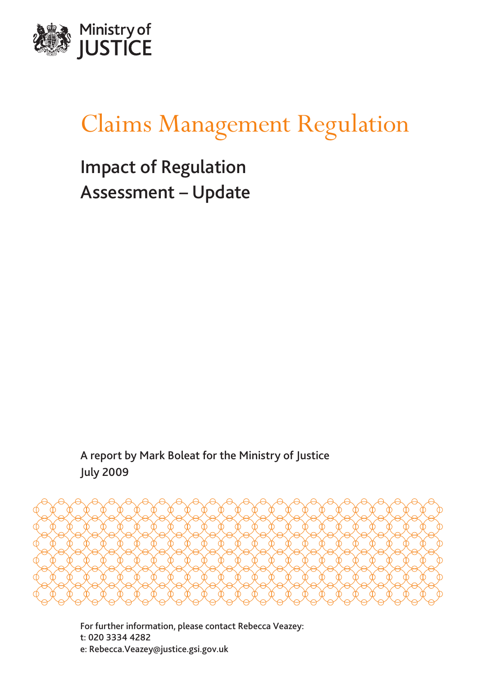

# Claims Management Regulation

Impact of Regulation Assessment – Update

A report by Mark Boleat for the Ministry of Justice July 2009



For further information, please contact Rebecca Veazey: t: 020 3334 4282 e: [Rebecca.Veazey@justice.gsi.gov.uk](mailto:Rebecca.Veazey@justice.gsi.gov.uk)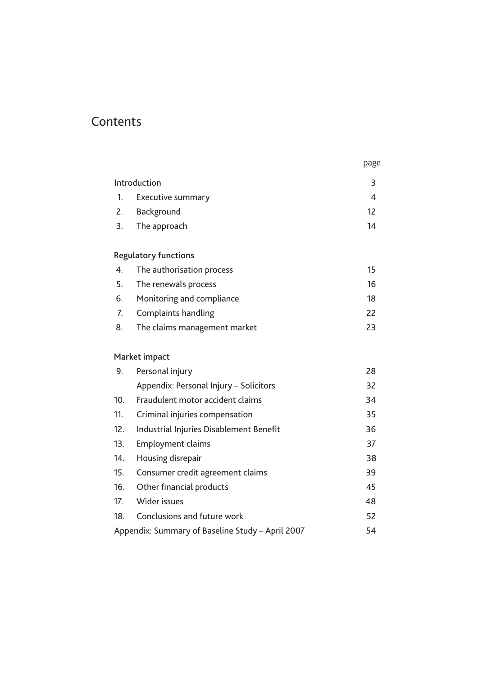# **Contents**

|                                                        |                                         | page |  |
|--------------------------------------------------------|-----------------------------------------|------|--|
|                                                        | Introduction                            | 3    |  |
| 1.                                                     | <b>Executive summary</b>                | 4    |  |
| 2.                                                     | Background                              | 12   |  |
| 3.                                                     | The approach                            | 14   |  |
|                                                        | <b>Regulatory functions</b>             |      |  |
| $\overline{4}$ .                                       | The authorisation process               | 15   |  |
| 5.                                                     | The renewals process                    | 16   |  |
| 6.                                                     | Monitoring and compliance               | 18   |  |
| 7.                                                     | <b>Complaints handling</b>              | 22   |  |
| 8.                                                     | The claims management market            | 23   |  |
|                                                        | Market impact                           |      |  |
| 9.                                                     | Personal injury                         | 28   |  |
|                                                        | Appendix: Personal Injury - Solicitors  | 32   |  |
| 10.                                                    | Fraudulent motor accident claims        | 34   |  |
| 11.                                                    | Criminal injuries compensation          | 35   |  |
| 12.                                                    | Industrial Injuries Disablement Benefit | 36   |  |
| 13.                                                    | Employment claims                       | 37   |  |
| 14.                                                    | Housing disrepair                       | 38   |  |
| 15.                                                    | Consumer credit agreement claims        | 39   |  |
| 16.                                                    | Other financial products                | 45   |  |
| 17.                                                    | Wider issues                            | 48   |  |
| 18.                                                    | Conclusions and future work             | 52   |  |
| Appendix: Summary of Baseline Study - April 2007<br>54 |                                         |      |  |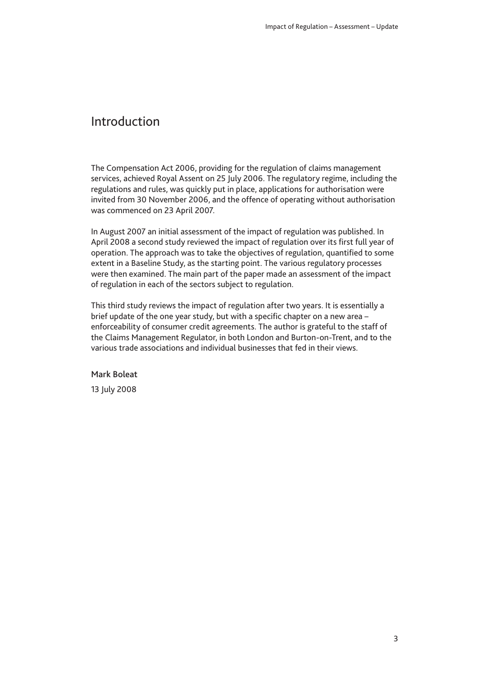### <span id="page-4-0"></span>Introduction

The Compensation Act 2006, providing for the regulation of claims management services, achieved Royal Assent on 25 July 2006. The regulatory regime, including the regulations and rules, was quickly put in place, applications for authorisation were invited from 30 November 2006, and the offence of operating without authorisation was commenced on 23 April 2007.

In August 2007 an initial assessment of the impact of regulation was published. In April 2008 a second study reviewed the impact of regulation over its first full year of operation. The approach was to take the objectives of regulation, quantified to some extent in a Baseline Study, as the starting point. The various regulatory processes were then examined. The main part of the paper made an assessment of the impact of regulation in each of the sectors subject to regulation.

This third study reviews the impact of regulation after two years. It is essentially a brief update of the one year study, but with a specific chapter on a new area – enforceability of consumer credit agreements. The author is grateful to the staff of the Claims Management Regulator, in both London and Burton-on-Trent, and to the various trade associations and individual businesses that fed in their views.

#### Mark Boleat

13 July 2008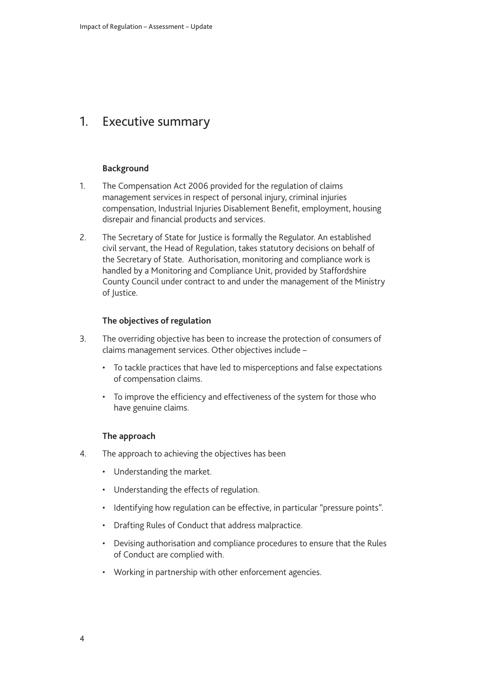### <span id="page-5-0"></span>1. Executive summary

#### **Background**

- 1. The Compensation Act 2006 provided for the regulation of claims management services in respect of personal injury, criminal injuries compensation, Industrial Injuries Disablement Benefit, employment, housing disrepair and financial products and services.
- 2. The Secretary of State for Justice is formally the Regulator. An established civil servant, the Head of Regulation, takes statutory decisions on behalf of the Secretary of State. Authorisation, monitoring and compliance work is handled by a Monitoring and Compliance Unit, provided by Staffordshire County Council under contract to and under the management of the Ministry of Justice.

#### **The objectives of regulation**

- 3. The overriding objective has been to increase the protection of consumers of claims management services. Other objectives include –
	- To tackle practices that have led to misperceptions and false expectations of compensation claims.
	- To improve the efficiency and effectiveness of the system for those who have genuine claims.

#### **The approach**

- 4. The approach to achieving the objectives has been
	- Understanding the market.
	- Understanding the effects of regulation.
	- Identifying how regulation can be effective, in particular "pressure points".
	- Drafting Rules of Conduct that address malpractice.
	- Devising authorisation and compliance procedures to ensure that the Rules of Conduct are complied with.
	- Working in partnership with other enforcement agencies.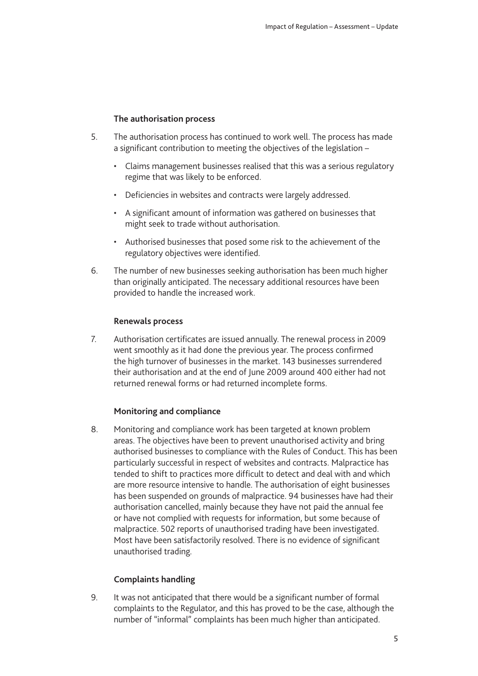#### **The authorisation process**

- 5. The authorisation process has continued to work well. The process has made a significant contribution to meeting the objectives of the legislation –
	- Claims management businesses realised that this was a serious regulatory regime that was likely to be enforced.
	- Deficiencies in websites and contracts were largely addressed.
	- A significant amount of information was gathered on businesses that might seek to trade without authorisation.
	- Authorised businesses that posed some risk to the achievement of the regulatory objectives were identified.
- 6. The number of new businesses seeking authorisation has been much higher than originally anticipated. The necessary additional resources have been provided to handle the increased work.

#### **Renewals process**

7. Authorisation certificates are issued annually. The renewal process in 2009 went smoothly as it had done the previous year. The process confirmed the high turnover of businesses in the market. 143 businesses surrendered their authorisation and at the end of June 2009 around 400 either had not returned renewal forms or had returned incomplete forms.

#### **Monitoring and compliance**

8. Monitoring and compliance work has been targeted at known problem areas. The objectives have been to prevent unauthorised activity and bring authorised businesses to compliance with the Rules of Conduct. This has been particularly successful in respect of websites and contracts. Malpractice has tended to shift to practices more difficult to detect and deal with and which are more resource intensive to handle. The authorisation of eight businesses has been suspended on grounds of malpractice. 94 businesses have had their authorisation cancelled, mainly because they have not paid the annual fee or have not complied with requests for information, but some because of malpractice. 502 reports of unauthorised trading have been investigated. Most have been satisfactorily resolved. There is no evidence of significant unauthorised trading.

#### **Complaints handling**

9. It was not anticipated that there would be a significant number of formal complaints to the Regulator, and this has proved to be the case, although the number of "informal" complaints has been much higher than anticipated.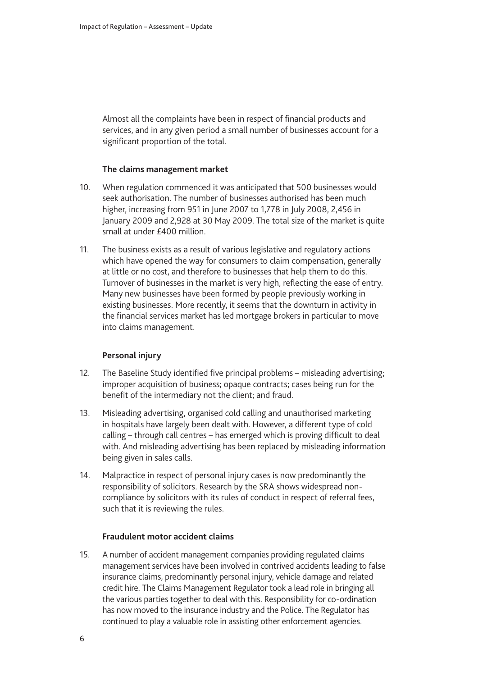Almost all the complaints have been in respect of financial products and services, and in any given period a small number of businesses account for a significant proportion of the total.

#### **The claims management market**

- 10. When regulation commenced it was anticipated that 500 businesses would seek authorisation. The number of businesses authorised has been much higher, increasing from 951 in June 2007 to 1,778 in July 2008, 2,456 in January 2009 and 2,928 at 30 May 2009. The total size of the market is quite small at under £400 million.
- 11. The business exists as a result of various legislative and regulatory actions which have opened the way for consumers to claim compensation, generally at little or no cost, and therefore to businesses that help them to do this. Turnover of businesses in the market is very high, reflecting the ease of entry. Many new businesses have been formed by people previously working in existing businesses. More recently, it seems that the downturn in activity in the financial services market has led mortgage brokers in particular to move into claims management.

#### **Personal injury**

- 12. The Baseline Study identified five principal problems misleading advertising; improper acquisition of business; opaque contracts; cases being run for the benefit of the intermediary not the client; and fraud.
- 13. Misleading advertising, organised cold calling and unauthorised marketing in hospitals have largely been dealt with. However, a different type of cold calling – through call centres – has emerged which is proving difficult to deal with. And misleading advertising has been replaced by misleading information being given in sales calls.
- 14. Malpractice in respect of personal injury cases is now predominantly the responsibility of solicitors. Research by the SRA shows widespread noncompliance by solicitors with its rules of conduct in respect of referral fees, such that it is reviewing the rules.

#### **Fraudulent motor accident claims**

15. A number of accident management companies providing regulated claims management services have been involved in contrived accidents leading to false insurance claims, predominantly personal injury, vehicle damage and related credit hire. The Claims Management Regulator took a lead role in bringing all the various parties together to deal with this. Responsibility for co-ordination has now moved to the insurance industry and the Police. The Regulator has continued to play a valuable role in assisting other enforcement agencies.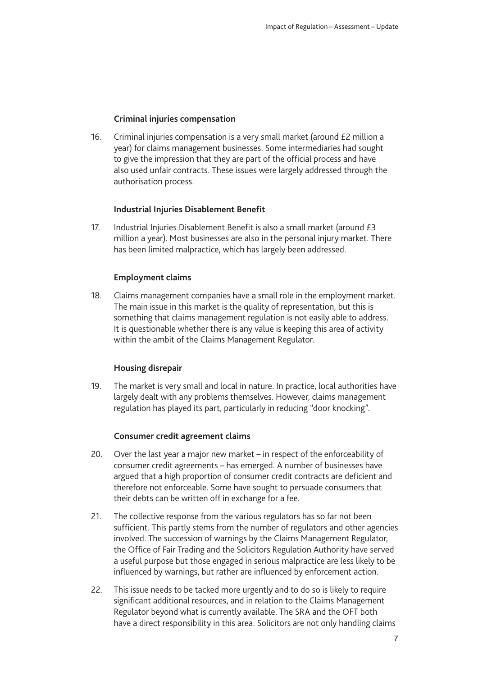#### **Criminal injuries compensation**

16. Criminal injuries compensation is a very small market (around  $E2$  million a year) for claims management businesses. Some intermediaries had sought to give the impression that they are part of the official process and have also used unfair contracts. These issues were largely addressed through the authorisation process.

#### **Industrial Injuries Disablement Benefit**

17. Industrial Injuries Disablement Benefit is also a small market (around £3 million a year). Most businesses are also in the personal injury market. There has been limited malpractice, which has largely been addressed.

#### **Employment claims**

18. Claims management companies have a small role in the employment market. The main issue in this market is the quality of representation, but this is something that claims management regulation is not easily able to address. It is questionable whether there is any value is keeping this area of activity within the ambit of the Claims Management Regulator.

#### **Housing disrepair**

19. The market is very small and local in nature. In practice, local authorities have largely dealt with any problems themselves. However, claims management regulation has played its part, particularly in reducing "door knocking".

#### **Consumer credit agreement claims**

- 20. Over the last year a major new market in respect of the enforceability of consumer credit agreements – has emerged. A number of businesses have argued that a high proportion of consumer credit contracts are deficient and therefore not enforceable. Some have sought to persuade consumers that their debts can be written off in exchange for a fee.
- 21. The collective response from the various regulators has so far not been sufficient. This partly stems from the number of regulators and other agencies involved. The succession of warnings by the Claims Management Regulator, the Office of Fair Trading and the Solicitors Regulation Authority have served a useful purpose but those engaged in serious malpractice are less likely to be influenced by warnings, but rather are influenced by enforcement action.
- 22. This issue needs to be tacked more urgently and to do so is likely to require significant additional resources, and in relation to the Claims Management Regulator beyond what is currently available. The SRA and the OFT both have a direct responsibility in this area. Solicitors are not only handling claims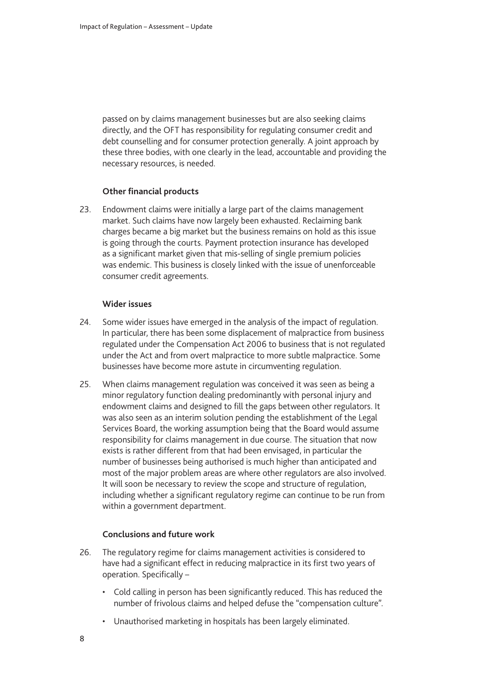passed on by claims management businesses but are also seeking claims directly, and the OFT has responsibility for regulating consumer credit and debt counselling and for consumer protection generally. A joint approach by these three bodies, with one clearly in the lead, accountable and providing the necessary resources, is needed.

#### **Other financial products**

23. Endowment claims were initially a large part of the claims management market. Such claims have now largely been exhausted. Reclaiming bank charges became a big market but the business remains on hold as this issue is going through the courts. Payment protection insurance has developed as a significant market given that mis-selling of single premium policies was endemic. This business is closely linked with the issue of unenforceable consumer credit agreements.

#### **Wider issues**

- 24. Some wider issues have emerged in the analysis of the impact of regulation. In particular, there has been some displacement of malpractice from business regulated under the Compensation Act 2006 to business that is not regulated under the Act and from overt malpractice to more subtle malpractice. Some businesses have become more astute in circumventing regulation.
- 25. When claims management regulation was conceived it was seen as being a minor regulatory function dealing predominantly with personal injury and endowment claims and designed to fill the gaps between other regulators. It was also seen as an interim solution pending the establishment of the Legal Services Board, the working assumption being that the Board would assume responsibility for claims management in due course. The situation that now exists is rather different from that had been envisaged, in particular the number of businesses being authorised is much higher than anticipated and most of the major problem areas are where other regulators are also involved. It will soon be necessary to review the scope and structure of regulation, including whether a significant regulatory regime can continue to be run from within a government department.

#### **Conclusions and future work**

- 26. The regulatory regime for claims management activities is considered to have had a significant effect in reducing malpractice in its first two years of operation. Specifically –
	- Cold calling in person has been significantly reduced. This has reduced the number of frivolous claims and helped defuse the "compensation culture".
	- Unauthorised marketing in hospitals has been largely eliminated.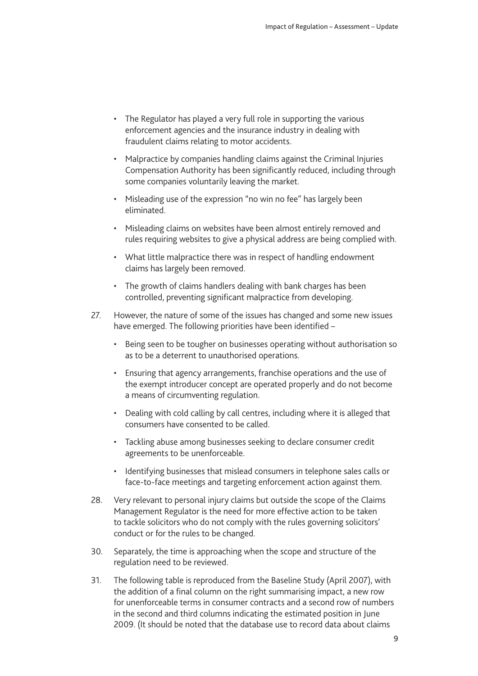- The Regulator has played a very full role in supporting the various enforcement agencies and the insurance industry in dealing with fraudulent claims relating to motor accidents.
- Malpractice by companies handling claims against the Criminal Injuries Compensation Authority has been significantly reduced, including through some companies voluntarily leaving the market.
- Misleading use of the expression "no win no fee" has largely been eliminated.
- Misleading claims on websites have been almost entirely removed and rules requiring websites to give a physical address are being complied with.
- What little malpractice there was in respect of handling endowment claims has largely been removed.
- The growth of claims handlers dealing with bank charges has been controlled, preventing significant malpractice from developing.
- 27. However, the nature of some of the issues has changed and some new issues have emerged. The following priorities have been identified –
	- Being seen to be tougher on businesses operating without authorisation so as to be a deterrent to unauthorised operations.
	- Ensuring that agency arrangements, franchise operations and the use of the exempt introducer concept are operated properly and do not become a means of circumventing regulation.
	- Dealing with cold calling by call centres, including where it is alleged that consumers have consented to be called.
	- Tackling abuse among businesses seeking to declare consumer credit agreements to be unenforceable.
	- Identifying businesses that mislead consumers in telephone sales calls or face-to-face meetings and targeting enforcement action against them.
- 28. Very relevant to personal injury claims but outside the scope of the Claims Management Regulator is the need for more effective action to be taken to tackle solicitors who do not comply with the rules governing solicitors' conduct or for the rules to be changed.
- 30. Separately, the time is approaching when the scope and structure of the regulation need to be reviewed.
- 31. The following table is reproduced from the Baseline Study (April 2007), with the addition of a final column on the right summarising impact, a new row for unenforceable terms in consumer contracts and a second row of numbers in the second and third columns indicating the estimated position in June 2009. (It should be noted that the database use to record data about claims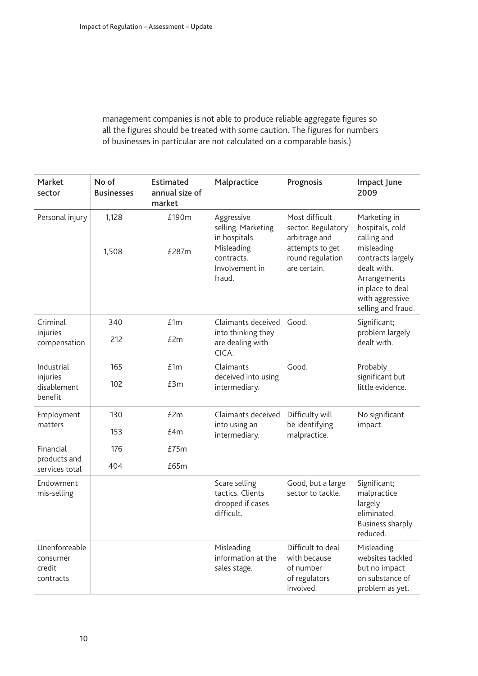management companies is not able to produce reliable aggregate figures so all the figures should be treated with some caution. The figures for numbers of businesses in particular are not calculated on a comparable basis.)

| Market<br>sector                                 | No of<br><b>Businesses</b> | <b>Estimated</b><br>annual size of<br>market | Malpractice                                                                                               | Prognosis                                                                                                    | Impact June<br>2009                                                                                                                                                           |
|--------------------------------------------------|----------------------------|----------------------------------------------|-----------------------------------------------------------------------------------------------------------|--------------------------------------------------------------------------------------------------------------|-------------------------------------------------------------------------------------------------------------------------------------------------------------------------------|
| Personal injury                                  | 1,128<br>1,508             | £190m<br>£287m                               | Aggressive<br>selling. Marketing<br>in hospitals.<br>Misleading<br>contracts.<br>Involvement in<br>fraud. | Most difficult<br>sector. Regulatory<br>arbitrage and<br>attempts to get<br>round regulation<br>are certain. | Marketing in<br>hospitals, cold<br>calling and<br>misleading<br>contracts largely<br>dealt with.<br>Arrangements<br>in place to deal<br>with aggressive<br>selling and fraud. |
| Criminal<br>injuries<br>compensation             | 340<br>212                 | £1m<br>£2m                                   | Claimants deceived<br>into thinking they<br>are dealing with<br>CICA.                                     | Good.                                                                                                        | Significant;<br>problem largely<br>dealt with.                                                                                                                                |
| Industrial<br>injuries<br>disablement<br>benefit | 165<br>102                 | £1m<br>£3m                                   | Claimants<br>deceived into using<br>intermediary.                                                         | Good.                                                                                                        | Probably<br>significant but<br>little evidence.                                                                                                                               |
| Employment<br>matters                            | 130<br>153                 | £2m<br>f4m                                   | Claimants deceived<br>into using an<br>intermediary.                                                      | Difficulty will<br>be identifying<br>malpractice.                                                            | No significant<br>impact.                                                                                                                                                     |
| Financial                                        | 176                        | £75m                                         |                                                                                                           |                                                                                                              |                                                                                                                                                                               |
| products and<br>services total                   | 404                        | £65m                                         |                                                                                                           |                                                                                                              |                                                                                                                                                                               |
| Endowment<br>mis-selling                         |                            |                                              | Scare selling<br>tactics. Clients<br>dropped if cases<br>difficult.                                       | Good, but a large<br>sector to tackle.                                                                       | Significant;<br>malpractice<br>largely<br>eliminated.<br><b>Business sharply</b><br>reduced.                                                                                  |
| Unenforceable<br>consumer<br>credit<br>contracts |                            |                                              | Misleading<br>information at the<br>sales stage.                                                          | Difficult to deal<br>with because<br>of number<br>of regulators<br>involved.                                 | Misleading<br>websites tackled<br>but no impact<br>on substance of<br>problem as yet.                                                                                         |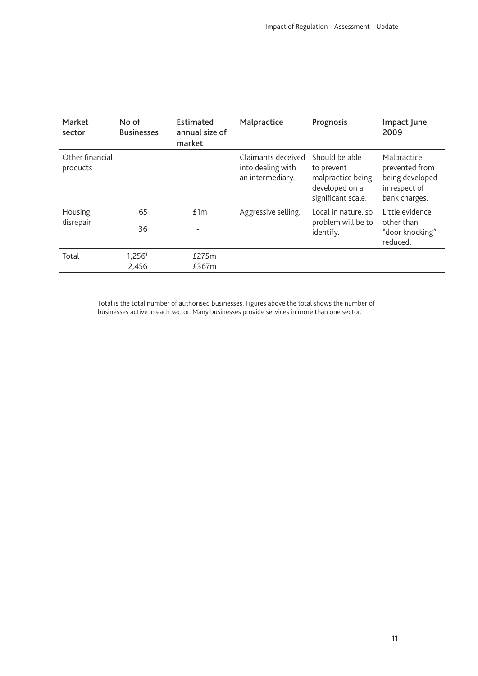| Market<br>sector            | No of<br><b>Businesses</b>  | Estimated<br>annual size of<br>market | Malpractice                                                 | Prognosis                                                                                 | Impact June<br>2009                                                                |
|-----------------------------|-----------------------------|---------------------------------------|-------------------------------------------------------------|-------------------------------------------------------------------------------------------|------------------------------------------------------------------------------------|
| Other financial<br>products |                             |                                       | Claimants deceived<br>into dealing with<br>an intermediary. | Should be able<br>to prevent<br>malpractice being<br>developed on a<br>significant scale. | Malpractice<br>prevented from<br>being developed<br>in respect of<br>bank charges. |
| Housing<br>disrepair        | 65<br>36                    | £1m                                   | Aggressive selling.                                         | Local in nature, so<br>problem will be to<br>identify.                                    | Little evidence<br>other than<br>"door knocking"<br>reduced.                       |
| Total                       | 1,256 <sup>1</sup><br>2,456 | £275m<br>£367m                        |                                                             |                                                                                           |                                                                                    |

 $^1$  Total is the total number of authorised businesses. Figures above the total shows the number of businesses active in each sector. Many businesses provide services in more than one sector.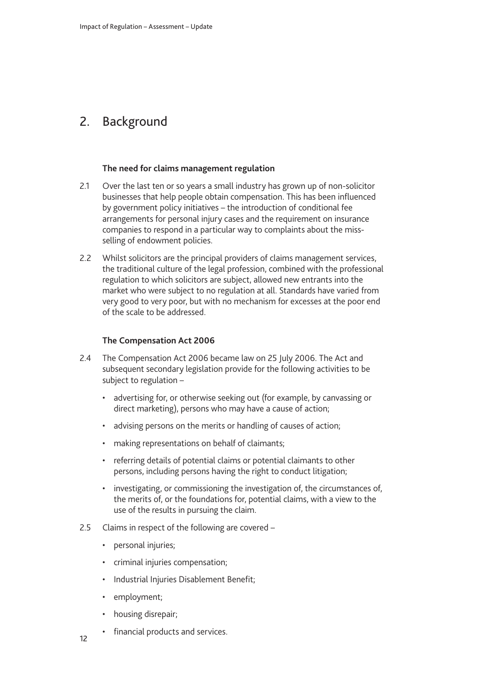### <span id="page-13-0"></span>2. Background

#### **The need for claims management regulation**

- 2.1 Over the last ten or so years a small industry has grown up of non-solicitor businesses that help people obtain compensation. This has been influenced by government policy initiatives – the introduction of conditional fee arrangements for personal injury cases and the requirement on insurance companies to respond in a particular way to complaints about the missselling of endowment policies.
- 2.2 Whilst solicitors are the principal providers of claims management services, the traditional culture of the legal profession, combined with the professional regulation to which solicitors are subject, allowed new entrants into the market who were subject to no regulation at all. Standards have varied from very good to very poor, but with no mechanism for excesses at the poor end of the scale to be addressed.

#### **The Compensation Act 2006**

- 2.4 The Compensation Act 2006 became law on 25 July 2006. The Act and subsequent secondary legislation provide for the following activities to be subject to regulation –
	- advertising for, or otherwise seeking out (for example, by canvassing or direct marketing), persons who may have a cause of action;
	- advising persons on the merits or handling of causes of action;
	- making representations on behalf of claimants;
	- referring details of potential claims or potential claimants to other persons, including persons having the right to conduct litigation;
	- investigating, or commissioning the investigation of, the circumstances of, the merits of, or the foundations for, potential claims, with a view to the use of the results in pursuing the claim.
- 2.5 Claims in respect of the following are covered
	- personal injuries;
	- criminal injuries compensation;
	- Industrial Injuries Disablement Benefit;
	- employment;
	- housing disrepair;
	- financial products and services.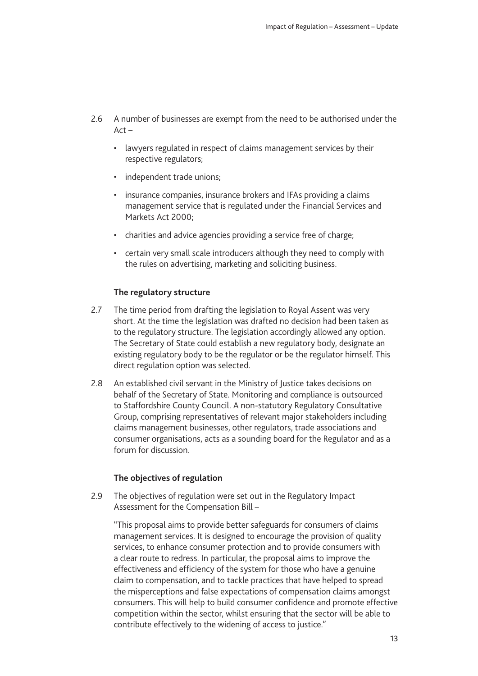- 2.6 A number of businesses are exempt from the need to be authorised under the  $Act -$ 
	- lawyers regulated in respect of claims management services by their respective regulators;
	- independent trade unions;
	- insurance companies, insurance brokers and IFAs providing a claims management service that is regulated under the Financial Services and Markets Act 2000;
	- charities and advice agencies providing a service free of charge;
	- certain very small scale introducers although they need to comply with the rules on advertising, marketing and soliciting business.

#### **The regulatory structure**

- 2.7 The time period from drafting the legislation to Royal Assent was very short. At the time the legislation was drafted no decision had been taken as to the regulatory structure. The legislation accordingly allowed any option. The Secretary of State could establish a new regulatory body, designate an existing regulatory body to be the regulator or be the regulator himself. This direct regulation option was selected.
- 2.8 An established civil servant in the Ministry of Justice takes decisions on behalf of the Secretary of State. Monitoring and compliance is outsourced to Staffordshire County Council. A non-statutory Regulatory Consultative Group, comprising representatives of relevant major stakeholders including claims management businesses, other regulators, trade associations and consumer organisations, acts as a sounding board for the Regulator and as a forum for discussion.

#### **The objectives of regulation**

2.9 The objectives of regulation were set out in the Regulatory Impact Assessment for the Compensation Bill –

"This proposal aims to provide better safeguards for consumers of claims management services. It is designed to encourage the provision of quality services, to enhance consumer protection and to provide consumers with a clear route to redress. In particular, the proposal aims to improve the effectiveness and efficiency of the system for those who have a genuine claim to compensation, and to tackle practices that have helped to spread the misperceptions and false expectations of compensation claims amongst consumers. This will help to build consumer confidence and promote effective competition within the sector, whilst ensuring that the sector will be able to contribute effectively to the widening of access to justice."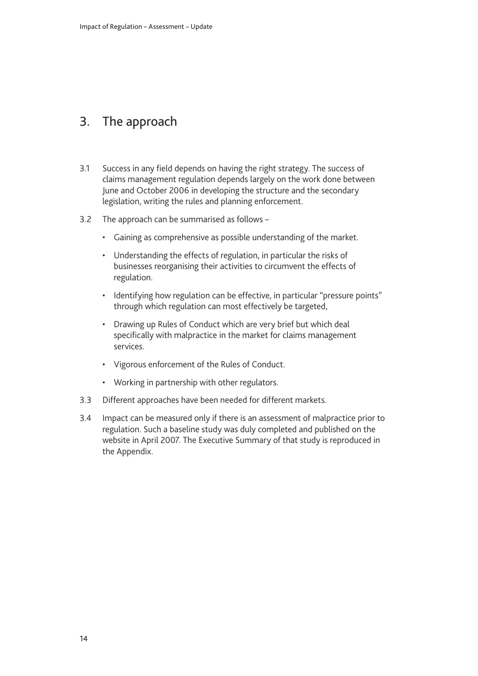### <span id="page-15-0"></span>3. The approach

- 3.1 Success in any field depends on having the right strategy. The success of claims management regulation depends largely on the work done between June and October 2006 in developing the structure and the secondary legislation, writing the rules and planning enforcement.
- 3.2 The approach can be summarised as follows
	- Gaining as comprehensive as possible understanding of the market.
	- Understanding the effects of regulation, in particular the risks of businesses reorganising their activities to circumvent the effects of regulation.
	- Identifying how regulation can be effective, in particular "pressure points" through which regulation can most effectively be targeted,
	- Drawing up Rules of Conduct which are very brief but which deal specifically with malpractice in the market for claims management services.
	- Vigorous enforcement of the Rules of Conduct.
	- Working in partnership with other regulators.
- 3.3 Different approaches have been needed for different markets.
- 3.4 Impact can be measured only if there is an assessment of malpractice prior to regulation. Such a baseline study was duly completed and published on the website in April 2007. The Executive Summary of that study is reproduced in the Appendix.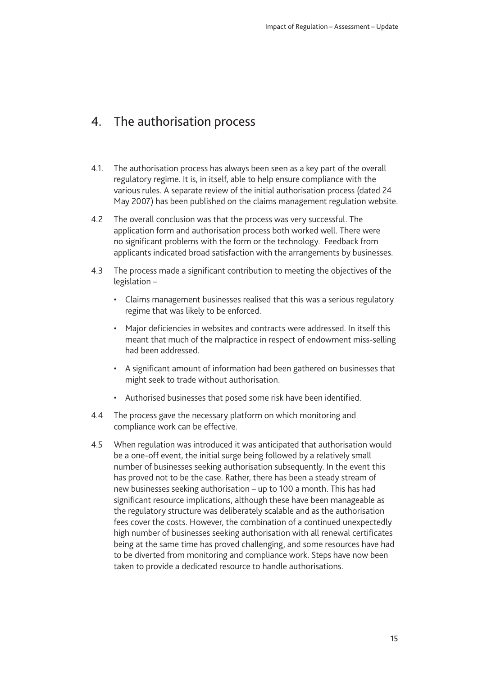### <span id="page-16-0"></span>4. The authorisation process

- 4.1. The authorisation process has always been seen as a key part of the overall regulatory regime. It is, in itself, able to help ensure compliance with the various rules. A separate review of the initial authorisation process (dated 24 May 2007) has been published on the claims management regulation website.
- 4.2 The overall conclusion was that the process was very successful. The application form and authorisation process both worked well. There were no significant problems with the form or the technology. Feedback from applicants indicated broad satisfaction with the arrangements by businesses.
- 4.3 The process made a significant contribution to meeting the objectives of the legislation –
	- Claims management businesses realised that this was a serious regulatory regime that was likely to be enforced.
	- Major deficiencies in websites and contracts were addressed. In itself this meant that much of the malpractice in respect of endowment miss-selling had been addressed.
	- A significant amount of information had been gathered on businesses that might seek to trade without authorisation.
	- Authorised businesses that posed some risk have been identified.
- 4.4 The process gave the necessary platform on which monitoring and compliance work can be effective.
- 4.5 When regulation was introduced it was anticipated that authorisation would be a one-off event, the initial surge being followed by a relatively small number of businesses seeking authorisation subsequently. In the event this has proved not to be the case. Rather, there has been a steady stream of new businesses seeking authorisation – up to 100 a month. This has had significant resource implications, although these have been manageable as the regulatory structure was deliberately scalable and as the authorisation fees cover the costs. However, the combination of a continued unexpectedly high number of businesses seeking authorisation with all renewal certificates being at the same time has proved challenging, and some resources have had to be diverted from monitoring and compliance work. Steps have now been taken to provide a dedicated resource to handle authorisations.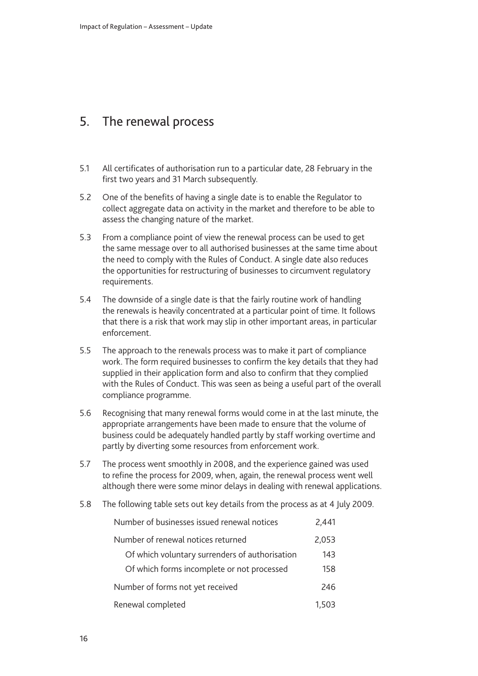### <span id="page-17-0"></span>5. The renewal process

- 5.1 All certificates of authorisation run to a particular date, 28 February in the first two years and 31 March subsequently.
- 5.2 One of the benefits of having a single date is to enable the Regulator to collect aggregate data on activity in the market and therefore to be able to assess the changing nature of the market.
- 5.3 From a compliance point of view the renewal process can be used to get the same message over to all authorised businesses at the same time about the need to comply with the Rules of Conduct. A single date also reduces the opportunities for restructuring of businesses to circumvent regulatory requirements.
- 5.4 The downside of a single date is that the fairly routine work of handling the renewals is heavily concentrated at a particular point of time. It follows that there is a risk that work may slip in other important areas, in particular enforcement.
- 5.5 The approach to the renewals process was to make it part of compliance work. The form required businesses to confirm the key details that they had supplied in their application form and also to confirm that they complied with the Rules of Conduct. This was seen as being a useful part of the overall compliance programme.
- 5.6 Recognising that many renewal forms would come in at the last minute, the appropriate arrangements have been made to ensure that the volume of business could be adequately handled partly by staff working overtime and partly by diverting some resources from enforcement work.
- 5.7 The process went smoothly in 2008, and the experience gained was used to refine the process for 2009, when, again, the renewal process went well although there were some minor delays in dealing with renewal applications.
- 5.8 The following table sets out key details from the process as at 4 July 2009.

| Number of businesses issued renewal notices    | 2,441 |
|------------------------------------------------|-------|
| Number of renewal notices returned             | 2,053 |
| Of which voluntary surrenders of authorisation | 143   |
| Of which forms incomplete or not processed     | 158   |
| Number of forms not yet received               | 246   |
| Renewal completed                              | 1,503 |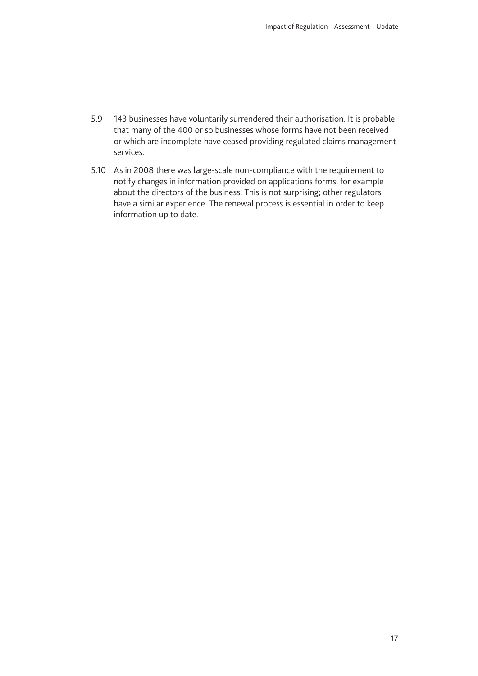- 5.9 143 businesses have voluntarily surrendered their authorisation. It is probable that many of the 400 or so businesses whose forms have not been received or which are incomplete have ceased providing regulated claims management services.
- 5.10 As in 2008 there was large-scale non-compliance with the requirement to notify changes in information provided on applications forms, for example about the directors of the business. This is not surprising; other regulators have a similar experience. The renewal process is essential in order to keep information up to date.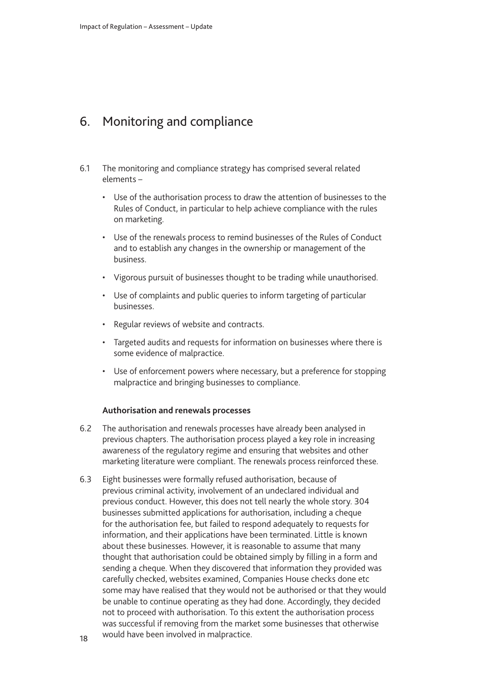### <span id="page-19-0"></span>6. Monitoring and compliance

- 6.1 The monitoring and compliance strategy has comprised several related elements –
	- Use of the authorisation process to draw the attention of businesses to the Rules of Conduct, in particular to help achieve compliance with the rules on marketing.
	- Use of the renewals process to remind businesses of the Rules of Conduct and to establish any changes in the ownership or management of the business.
	- Vigorous pursuit of businesses thought to be trading while unauthorised.
	- Use of complaints and public queries to inform targeting of particular businesses.
	- Regular reviews of website and contracts.
	- Targeted audits and requests for information on businesses where there is some evidence of malpractice.
	- Use of enforcement powers where necessary, but a preference for stopping malpractice and bringing businesses to compliance.

#### **Authorisation and renewals processes**

- 6.2 The authorisation and renewals processes have already been analysed in previous chapters. The authorisation process played a key role in increasing awareness of the regulatory regime and ensuring that websites and other marketing literature were compliant. The renewals process reinforced these.
- 6.3 Eight businesses were formally refused authorisation, because of previous criminal activity, involvement of an undeclared individual and previous conduct. However, this does not tell nearly the whole story. 304 businesses submitted applications for authorisation, including a cheque for the authorisation fee, but failed to respond adequately to requests for information, and their applications have been terminated. Little is known about these businesses. However, it is reasonable to assume that many thought that authorisation could be obtained simply by filling in a form and sending a cheque. When they discovered that information they provided was carefully checked, websites examined, Companies House checks done etc some may have realised that they would not be authorised or that they would be unable to continue operating as they had done. Accordingly, they decided not to proceed with authorisation. To this extent the authorisation process was successful if removing from the market some businesses that otherwise would have been involved in malpractice.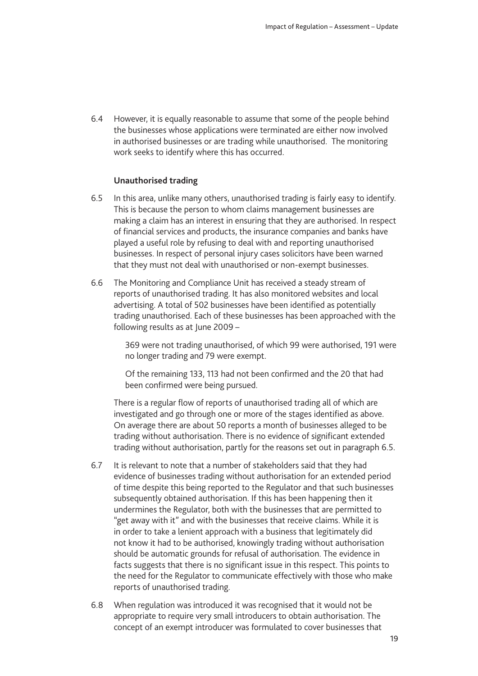6.4 However, it is equally reasonable to assume that some of the people behind the businesses whose applications were terminated are either now involved in authorised businesses or are trading while unauthorised. The monitoring work seeks to identify where this has occurred.

#### **Unauthorised trading**

- 6.5 In this area, unlike many others, unauthorised trading is fairly easy to identify. This is because the person to whom claims management businesses are making a claim has an interest in ensuring that they are authorised. In respect of financial services and products, the insurance companies and banks have played a useful role by refusing to deal with and reporting unauthorised businesses. In respect of personal injury cases solicitors have been warned that they must not deal with unauthorised or non-exempt businesses.
- 6.6 The Monitoring and Compliance Unit has received a steady stream of reports of unauthorised trading. It has also monitored websites and local advertising. A total of 502 businesses have been identified as potentially trading unauthorised. Each of these businesses has been approached with the following results as at June 2009 –

369 were not trading unauthorised, of which 99 were authorised, 191 were no longer trading and 79 were exempt.

Of the remaining 133, 113 had not been confirmed and the 20 that had been confirmed were being pursued.

There is a regular flow of reports of unauthorised trading all of which are investigated and go through one or more of the stages identified as above. On average there are about 50 reports a month of businesses alleged to be trading without authorisation. There is no evidence of significant extended trading without authorisation, partly for the reasons set out in paragraph 6.5.

- 6.7 It is relevant to note that a number of stakeholders said that they had evidence of businesses trading without authorisation for an extended period of time despite this being reported to the Regulator and that such businesses subsequently obtained authorisation. If this has been happening then it undermines the Regulator, both with the businesses that are permitted to "get away with it" and with the businesses that receive claims. While it is in order to take a lenient approach with a business that legitimately did not know it had to be authorised, knowingly trading without authorisation should be automatic grounds for refusal of authorisation. The evidence in facts suggests that there is no significant issue in this respect. This points to the need for the Regulator to communicate effectively with those who make reports of unauthorised trading.
- 6.8 When regulation was introduced it was recognised that it would not be appropriate to require very small introducers to obtain authorisation. The concept of an exempt introducer was formulated to cover businesses that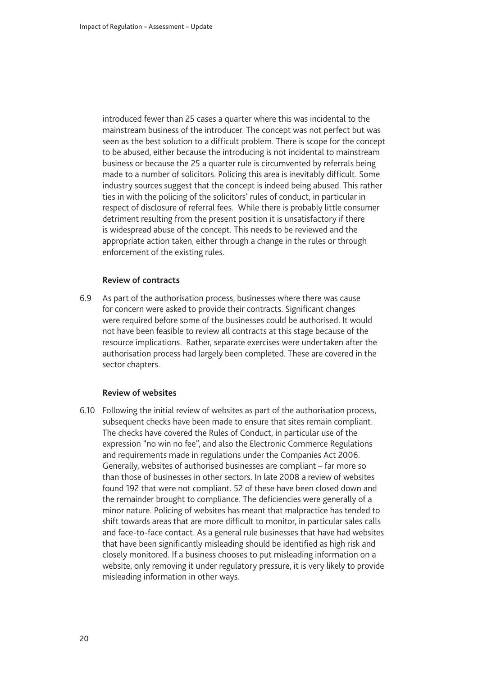introduced fewer than 25 cases a quarter where this was incidental to the mainstream business of the introducer. The concept was not perfect but was seen as the best solution to a difficult problem. There is scope for the concept to be abused, either because the introducing is not incidental to mainstream business or because the 25 a quarter rule is circumvented by referrals being made to a number of solicitors. Policing this area is inevitably difficult. Some industry sources suggest that the concept is indeed being abused. This rather ties in with the policing of the solicitors' rules of conduct, in particular in respect of disclosure of referral fees. While there is probably little consumer detriment resulting from the present position it is unsatisfactory if there is widespread abuse of the concept. This needs to be reviewed and the appropriate action taken, either through a change in the rules or through enforcement of the existing rules.

#### **Review of contracts**

6.9 As part of the authorisation process, businesses where there was cause for concern were asked to provide their contracts. Significant changes were required before some of the businesses could be authorised. It would not have been feasible to review all contracts at this stage because of the resource implications. Rather, separate exercises were undertaken after the authorisation process had largely been completed. These are covered in the sector chapters.

#### **Review of websites**

6.10 Following the initial review of websites as part of the authorisation process, subsequent checks have been made to ensure that sites remain compliant. The checks have covered the Rules of Conduct, in particular use of the expression "no win no fee", and also the Electronic Commerce Regulations and requirements made in regulations under the Companies Act 2006. Generally, websites of authorised businesses are compliant – far more so than those of businesses in other sectors. In late 2008 a review of websites found 192 that were not compliant. 52 of these have been closed down and the remainder brought to compliance. The deficiencies were generally of a minor nature. Policing of websites has meant that malpractice has tended to shift towards areas that are more difficult to monitor, in particular sales calls and face-to-face contact. As a general rule businesses that have had websites that have been significantly misleading should be identified as high risk and closely monitored. If a business chooses to put misleading information on a website, only removing it under regulatory pressure, it is very likely to provide misleading information in other ways.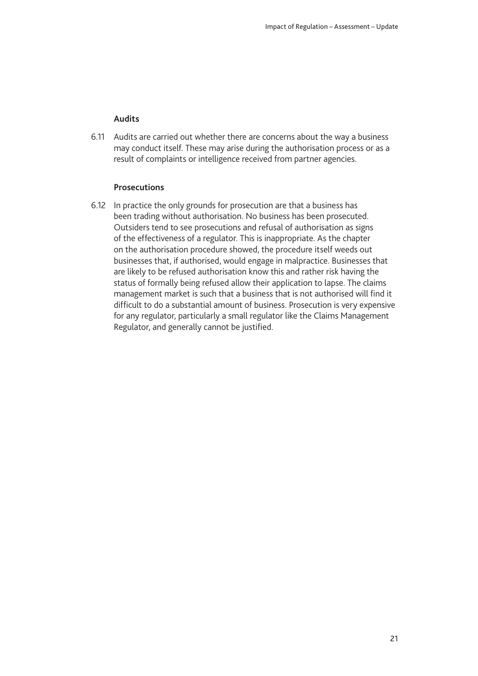#### **Audits**

6.11 Audits are carried out whether there are concerns about the way a business may conduct itself. These may arise during the authorisation process or as a result of complaints or intelligence received from partner agencies.

#### **Prosecutions**

6.12 In practice the only grounds for prosecution are that a business has been trading without authorisation. No business has been prosecuted. Outsiders tend to see prosecutions and refusal of authorisation as signs of the effectiveness of a regulator. This is inappropriate. As the chapter on the authorisation procedure showed, the procedure itself weeds out businesses that, if authorised, would engage in malpractice. Businesses that are likely to be refused authorisation know this and rather risk having the status of formally being refused allow their application to lapse. The claims management market is such that a business that is not authorised will find it difficult to do a substantial amount of business. Prosecution is very expensive for any regulator, particularly a small regulator like the Claims Management Regulator, and generally cannot be justified.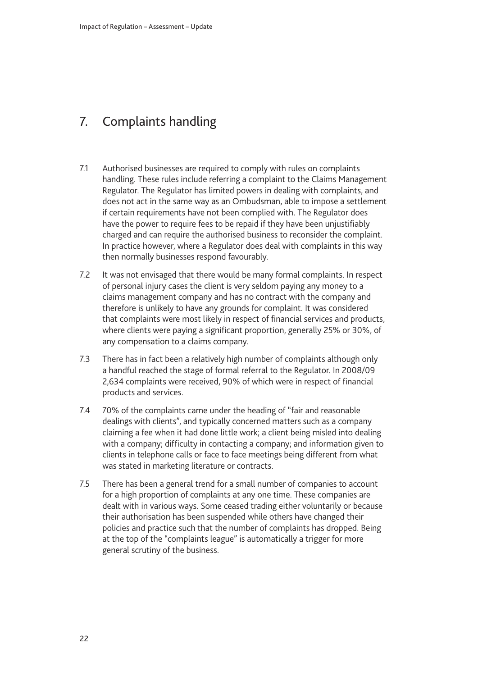# <span id="page-23-0"></span>7. Complaints handling

- 7.1 Authorised businesses are required to comply with rules on complaints handling. These rules include referring a complaint to the Claims Management Regulator. The Regulator has limited powers in dealing with complaints, and does not act in the same way as an Ombudsman, able to impose a settlement if certain requirements have not been complied with. The Regulator does have the power to require fees to be repaid if they have been unjustifiably charged and can require the authorised business to reconsider the complaint. In practice however, where a Regulator does deal with complaints in this way then normally businesses respond favourably.
- 7.2 It was not envisaged that there would be many formal complaints. In respect of personal injury cases the client is very seldom paying any money to a claims management company and has no contract with the company and therefore is unlikely to have any grounds for complaint. It was considered that complaints were most likely in respect of financial services and products, where clients were paying a significant proportion, generally 25% or 30%, of any compensation to a claims company.
- 7.3 There has in fact been a relatively high number of complaints although only a handful reached the stage of formal referral to the Regulator. In 2008/09 2,634 complaints were received, 90% of which were in respect of financial products and services.
- 7.4 70% of the complaints came under the heading of "fair and reasonable dealings with clients", and typically concerned matters such as a company claiming a fee when it had done little work; a client being misled into dealing with a company; difficulty in contacting a company; and information given to clients in telephone calls or face to face meetings being different from what was stated in marketing literature or contracts.
- 7.5 There has been a general trend for a small number of companies to account for a high proportion of complaints at any one time. These companies are dealt with in various ways. Some ceased trading either voluntarily or because their authorisation has been suspended while others have changed their policies and practice such that the number of complaints has dropped. Being at the top of the "complaints league" is automatically a trigger for more general scrutiny of the business.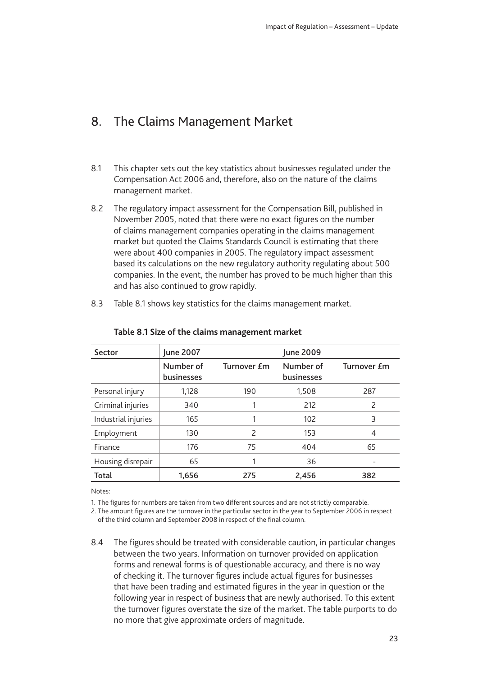### <span id="page-24-0"></span>8. The Claims Management Market

- 8.1 This chapter sets out the key statistics about businesses regulated under the Compensation Act 2006 and, therefore, also on the nature of the claims management market.
- 8.2 The regulatory impact assessment for the Compensation Bill, published in November 2005, noted that there were no exact figures on the number of claims management companies operating in the claims management market but quoted the Claims Standards Council is estimating that there were about 400 companies in 2005. The regulatory impact assessment based its calculations on the new regulatory authority regulating about 500 companies. In the event, the number has proved to be much higher than this and has also continued to grow rapidly.
- 8.3 Table 8.1 shows key statistics for the claims management market.

| Sector              | June 2007               |                          | June 2009               |                          |
|---------------------|-------------------------|--------------------------|-------------------------|--------------------------|
|                     | Number of<br>businesses | Turnover <i>f</i> m      | Number of<br>businesses | Turnover £m              |
| Personal injury     | 1,128                   | 190                      | 1,508                   | 287                      |
| Criminal injuries   | 340                     |                          | 212                     | $\overline{\phantom{0}}$ |
| Industrial injuries | 165                     |                          | 102                     | 3                        |
| Employment          | 130                     | $\overline{\phantom{0}}$ | 153                     | 4                        |
| Finance             | 176                     | 75                       | 404                     | 65                       |
| Housing disrepair   | 65                      |                          | 36                      |                          |
| Total               | 1,656                   | 275                      | 2,456                   | 382                      |

#### **Table 8.1 Size of the claims management market**

Notes:

1. The figures for numbers are taken from two different sources and are not strictly comparable.

2. The amount figures are the turnover in the particular sector in the year to September 2006 in respect of the third column and September 2008 in respect of the final column.

8.4 The figures should be treated with considerable caution, in particular changes between the two years. Information on turnover provided on application forms and renewal forms is of questionable accuracy, and there is no way of checking it. The turnover figures include actual figures for businesses that have been trading and estimated figures in the year in question or the following year in respect of business that are newly authorised. To this extent the turnover figures overstate the size of the market. The table purports to do no more that give approximate orders of magnitude.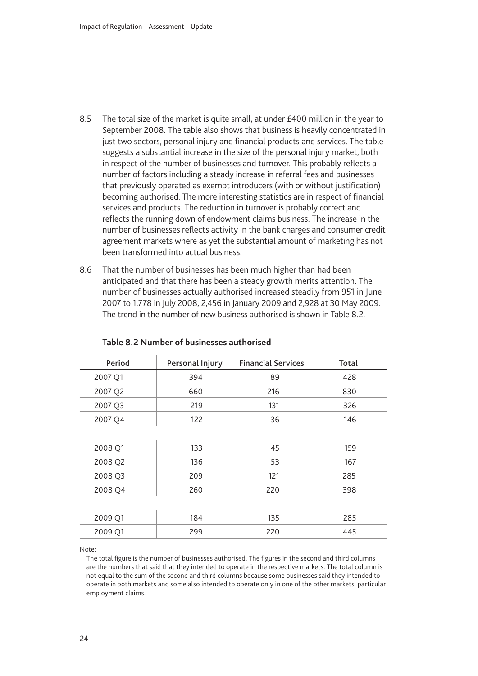- 8.5 The total size of the market is quite small, at under  $£400$  million in the year to September 2008. The table also shows that business is heavily concentrated in just two sectors, personal injury and financial products and services. The table suggests a substantial increase in the size of the personal injury market, both in respect of the number of businesses and turnover. This probably reflects a number of factors including a steady increase in referral fees and businesses that previously operated as exempt introducers (with or without justification) becoming authorised. The more interesting statistics are in respect of financial services and products. The reduction in turnover is probably correct and reflects the running down of endowment claims business. The increase in the number of businesses reflects activity in the bank charges and consumer credit agreement markets where as yet the substantial amount of marketing has not been transformed into actual business.
- 8.6 That the number of businesses has been much higher than had been anticipated and that there has been a steady growth merits attention. The number of businesses actually authorised increased steadily from 951 in June 2007 to 1,778 in July 2008, 2,456 in January 2009 and 2,928 at 30 May 2009. The trend in the number of new business authorised is shown in Table 8.2.

| Period  | Personal Injury | <b>Financial Services</b> | <b>Total</b> |
|---------|-----------------|---------------------------|--------------|
| 2007 Q1 | 394             | 89                        | 428          |
| 2007 Q2 | 660             | 216                       | 830          |
| 2007 Q3 | 219             | 131                       | 326          |
| 2007 Q4 | 122             | 36                        | 146          |
|         |                 |                           |              |
| 2008 Q1 | 133             | 45                        | 159          |
| 2008 Q2 | 136             | 53                        | 167          |
| 2008 Q3 | 209             | 121                       | 285          |
| 2008 Q4 | 260             | 220                       | 398          |
|         |                 |                           |              |
| 2009 Q1 | 184             | 135                       | 285          |
| 2009 Q1 | 299             | 220                       | 445          |
|         |                 |                           |              |

#### **Table 8.2 Number of businesses authorised**

Note:

The total figure is the number of businesses authorised. The figures in the second and third columns are the numbers that said that they intended to operate in the respective markets. The total column is not equal to the sum of the second and third columns because some businesses said they intended to operate in both markets and some also intended to operate only in one of the other markets, particular employment claims.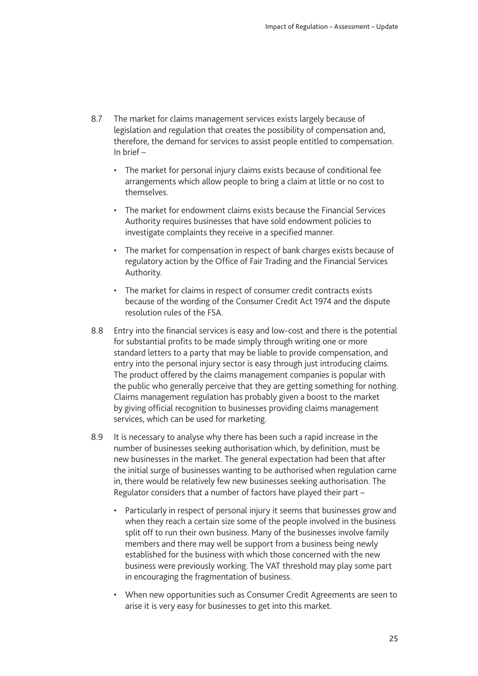- 8.7 The market for claims management services exists largely because of legislation and regulation that creates the possibility of compensation and, therefore, the demand for services to assist people entitled to compensation. In brief –
	- The market for personal injury claims exists because of conditional fee arrangements which allow people to bring a claim at little or no cost to themselves.
	- The market for endowment claims exists because the Financial Services Authority requires businesses that have sold endowment policies to investigate complaints they receive in a specified manner.
	- The market for compensation in respect of bank charges exists because of regulatory action by the Office of Fair Trading and the Financial Services Authority.
	- The market for claims in respect of consumer credit contracts exists because of the wording of the Consumer Credit Act 1974 and the dispute resolution rules of the FSA.
- 8.8 Entry into the financial services is easy and low-cost and there is the potential for substantial profits to be made simply through writing one or more standard letters to a party that may be liable to provide compensation, and entry into the personal injury sector is easy through just introducing claims. The product offered by the claims management companies is popular with the public who generally perceive that they are getting something for nothing. Claims management regulation has probably given a boost to the market by giving official recognition to businesses providing claims management services, which can be used for marketing.
- 8.9 It is necessary to analyse why there has been such a rapid increase in the number of businesses seeking authorisation which, by definition, must be new businesses in the market. The general expectation had been that after the initial surge of businesses wanting to be authorised when regulation came in, there would be relatively few new businesses seeking authorisation. The Regulator considers that a number of factors have played their part –
	- Particularly in respect of personal injury it seems that businesses grow and when they reach a certain size some of the people involved in the business split off to run their own business. Many of the businesses involve family members and there may well be support from a business being newly established for the business with which those concerned with the new business were previously working. The VAT threshold may play some part in encouraging the fragmentation of business.
	- When new opportunities such as Consumer Credit Agreements are seen to arise it is very easy for businesses to get into this market.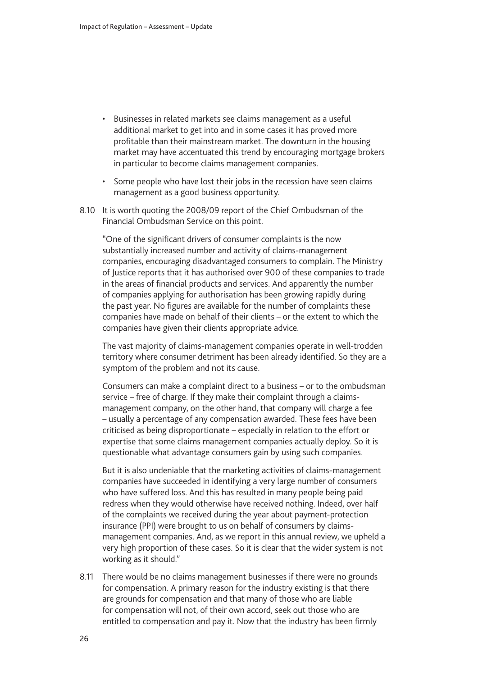- Businesses in related markets see claims management as a useful additional market to get into and in some cases it has proved more profitable than their mainstream market. The downturn in the housing market may have accentuated this trend by encouraging mortgage brokers in particular to become claims management companies.
- Some people who have lost their jobs in the recession have seen claims management as a good business opportunity.
- 8.10 It is worth quoting the 2008/09 report of the Chief Ombudsman of the Financial Ombudsman Service on this point.

"One of the significant drivers of consumer complaints is the now substantially increased number and activity of claims-management companies, encouraging disadvantaged consumers to complain. The Ministry of Justice reports that it has authorised over 900 of these companies to trade in the areas of financial products and services. And apparently the number of companies applying for authorisation has been growing rapidly during the past year. No figures are available for the number of complaints these companies have made on behalf of their clients – or the extent to which the companies have given their clients appropriate advice.

The vast majority of claims-management companies operate in well-trodden territory where consumer detriment has been already identified. So they are a symptom of the problem and not its cause.

Consumers can make a complaint direct to a business – or to the ombudsman service – free of charge. If they make their complaint through a claimsmanagement company, on the other hand, that company will charge a fee – usually a percentage of any compensation awarded. These fees have been criticised as being disproportionate – especially in relation to the effort or expertise that some claims management companies actually deploy. So it is questionable what advantage consumers gain by using such companies.

But it is also undeniable that the marketing activities of claims-management companies have succeeded in identifying a very large number of consumers who have suffered loss. And this has resulted in many people being paid redress when they would otherwise have received nothing. Indeed, over half of the complaints we received during the year about payment-protection insurance (PPI) were brought to us on behalf of consumers by claimsmanagement companies. And, as we report in this annual review, we upheld a very high proportion of these cases. So it is clear that the wider system is not working as it should."

8.11 There would be no claims management businesses if there were no grounds for compensation. A primary reason for the industry existing is that there are grounds for compensation and that many of those who are liable for compensation will not, of their own accord, seek out those who are entitled to compensation and pay it. Now that the industry has been firmly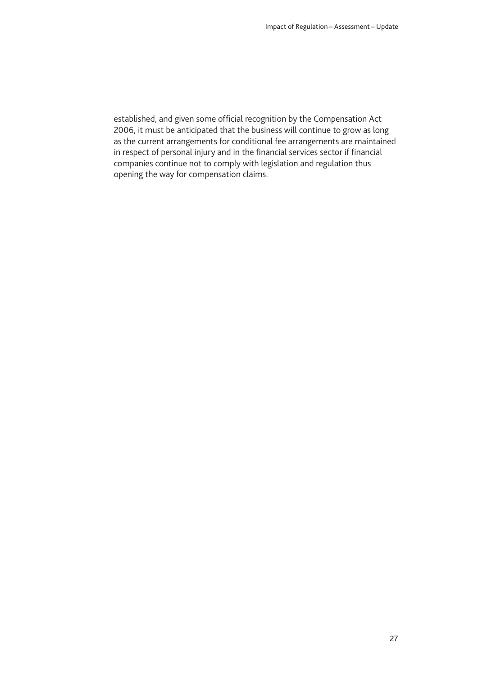established, and given some official recognition by the Compensation Act 2006, it must be anticipated that the business will continue to grow as long as the current arrangements for conditional fee arrangements are maintained in respect of personal injury and in the financial services sector if financial companies continue not to comply with legislation and regulation thus opening the way for compensation claims.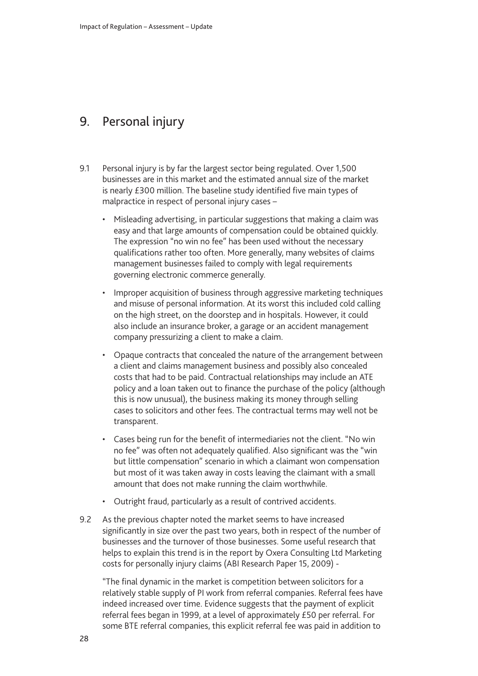### <span id="page-29-0"></span>9. Personal injury

- 9.1 Personal injury is by far the largest sector being regulated. Over 1,500 businesses are in this market and the estimated annual size of the market is nearly £300 million. The baseline study identified five main types of malpractice in respect of personal injury cases –
	- Misleading advertising, in particular suggestions that making a claim was easy and that large amounts of compensation could be obtained quickly. The expression "no win no fee" has been used without the necessary qualifications rather too often. More generally, many websites of claims management businesses failed to comply with legal requirements governing electronic commerce generally.
	- Improper acquisition of business through aggressive marketing techniques and misuse of personal information. At its worst this included cold calling on the high street, on the doorstep and in hospitals. However, it could also include an insurance broker, a garage or an accident management company pressurizing a client to make a claim.
	- Opaque contracts that concealed the nature of the arrangement between a client and claims management business and possibly also concealed costs that had to be paid. Contractual relationships may include an ATE policy and a loan taken out to finance the purchase of the policy (although this is now unusual), the business making its money through selling cases to solicitors and other fees. The contractual terms may well not be transparent.
	- Cases being run for the benefit of intermediaries not the client. "No win no fee" was often not adequately qualified. Also significant was the "win but little compensation" scenario in which a claimant won compensation but most of it was taken away in costs leaving the claimant with a small amount that does not make running the claim worthwhile.
	- Outright fraud, particularly as a result of contrived accidents.
- 9.2 As the previous chapter noted the market seems to have increased significantly in size over the past two years, both in respect of the number of businesses and the turnover of those businesses. Some useful research that helps to explain this trend is in the report by Oxera Consulting Ltd Marketing costs for personally injury claims (ABI Research Paper 15, 2009) -

"The final dynamic in the market is competition between solicitors for a relatively stable supply of PI work from referral companies. Referral fees have indeed increased over time. Evidence suggests that the payment of explicit referral fees began in 1999, at a level of approximately £50 per referral. For some BTE referral companies, this explicit referral fee was paid in addition to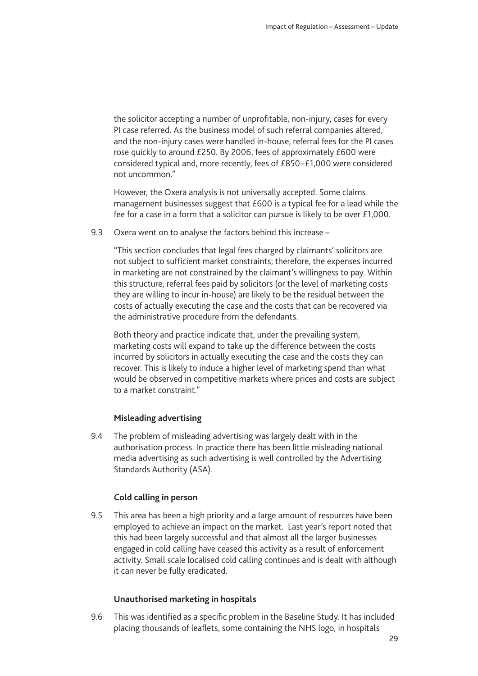the solicitor accepting a number of unprofitable, non-injury, cases for every PI case referred. As the business model of such referral companies altered, and the non-injury cases were handled in-house, referral fees for the PI cases rose quickly to around £250. By 2006, fees of approximately £600 were considered typical and, more recently, fees of £850–£1,000 were considered not uncommon."

However, the Oxera analysis is not universally accepted. Some claims management businesses suggest that £600 is a typical fee for a lead while the fee for a case in a form that a solicitor can pursue is likely to be over £1,000.

9.3 Oxera went on to analyse the factors behind this increase –

"This section concludes that legal fees charged by claimants' solicitors are not subject to sufficient market constraints; therefore, the expenses incurred in marketing are not constrained by the claimant's willingness to pay. Within this structure, referral fees paid by solicitors (or the level of marketing costs they are willing to incur in-house) are likely to be the residual between the costs of actually executing the case and the costs that can be recovered via the administrative procedure from the defendants.

Both theory and practice indicate that, under the prevailing system, marketing costs will expand to take up the difference between the costs incurred by solicitors in actually executing the case and the costs they can recover. This is likely to induce a higher level of marketing spend than what would be observed in competitive markets where prices and costs are subject to a market constraint."

#### **Misleading advertising**

9.4 The problem of misleading advertising was largely dealt with in the authorisation process. In practice there has been little misleading national media advertising as such advertising is well controlled by the Advertising Standards Authority (ASA).

#### **Cold calling in person**

9.5 This area has been a high priority and a large amount of resources have been employed to achieve an impact on the market. Last year's report noted that this had been largely successful and that almost all the larger businesses engaged in cold calling have ceased this activity as a result of enforcement activity. Small scale localised cold calling continues and is dealt with although it can never be fully eradicated.

#### **Unauthorised marketing in hospitals**

9.6 This was identified as a specific problem in the Baseline Study. It has included placing thousands of leaflets, some containing the NHS logo, in hospitals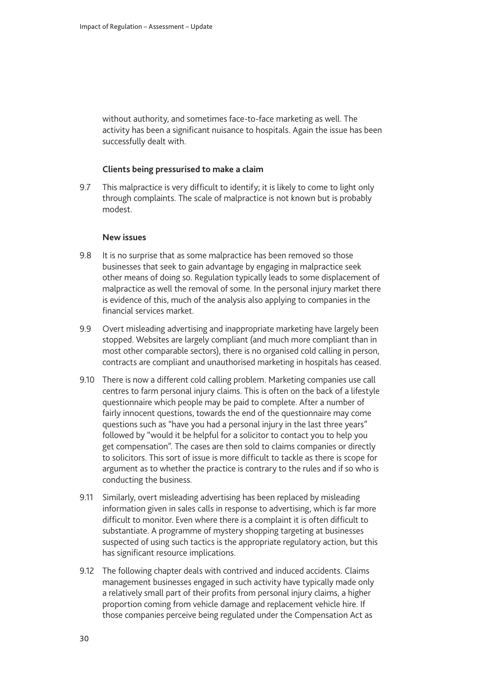without authority, and sometimes face-to-face marketing as well. The activity has been a significant nuisance to hospitals. Again the issue has been successfully dealt with.

#### **Clients being pressurised to make a claim**

9.7 This malpractice is very difficult to identify; it is likely to come to light only through complaints. The scale of malpractice is not known but is probably modest.

#### **New issues**

- 9.8 It is no surprise that as some malpractice has been removed so those businesses that seek to gain advantage by engaging in malpractice seek other means of doing so. Regulation typically leads to some displacement of malpractice as well the removal of some. In the personal injury market there is evidence of this, much of the analysis also applying to companies in the financial services market.
- 9.9 Overt misleading advertising and inappropriate marketing have largely been stopped. Websites are largely compliant (and much more compliant than in most other comparable sectors), there is no organised cold calling in person, contracts are compliant and unauthorised marketing in hospitals has ceased.
- 9.10 There is now a different cold calling problem. Marketing companies use call centres to farm personal injury claims. This is often on the back of a lifestyle questionnaire which people may be paid to complete. After a number of fairly innocent questions, towards the end of the questionnaire may come questions such as "have you had a personal injury in the last three years" followed by "would it be helpful for a solicitor to contact you to help you get compensation". The cases are then sold to claims companies or directly to solicitors. This sort of issue is more difficult to tackle as there is scope for argument as to whether the practice is contrary to the rules and if so who is conducting the business.
- 9.11 Similarly, overt misleading advertising has been replaced by misleading information given in sales calls in response to advertising, which is far more difficult to monitor. Even where there is a complaint it is often difficult to substantiate. A programme of mystery shopping targeting at businesses suspected of using such tactics is the appropriate regulatory action, but this has significant resource implications.
- 9.12 The following chapter deals with contrived and induced accidents. Claims management businesses engaged in such activity have typically made only a relatively small part of their profits from personal injury claims, a higher proportion coming from vehicle damage and replacement vehicle hire. If those companies perceive being regulated under the Compensation Act as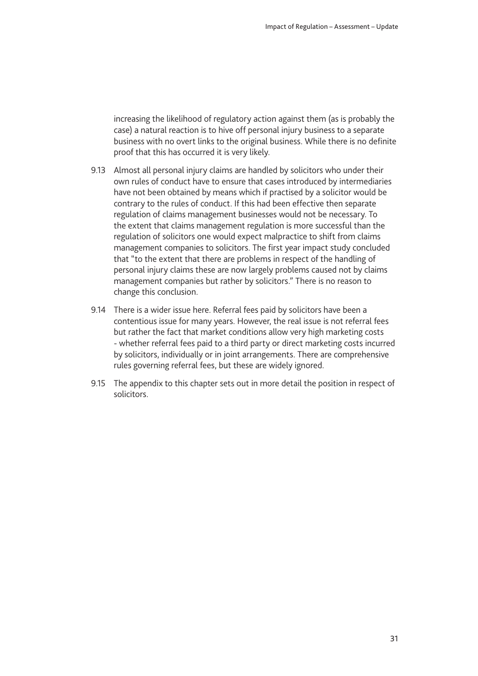increasing the likelihood of regulatory action against them (as is probably the case) a natural reaction is to hive off personal injury business to a separate business with no overt links to the original business. While there is no definite proof that this has occurred it is very likely.

- 9.13 Almost all personal injury claims are handled by solicitors who under their own rules of conduct have to ensure that cases introduced by intermediaries have not been obtained by means which if practised by a solicitor would be contrary to the rules of conduct. If this had been effective then separate regulation of claims management businesses would not be necessary. To the extent that claims management regulation is more successful than the regulation of solicitors one would expect malpractice to shift from claims management companies to solicitors. The first year impact study concluded that "to the extent that there are problems in respect of the handling of personal injury claims these are now largely problems caused not by claims management companies but rather by solicitors." There is no reason to change this conclusion.
- 9.14 There is a wider issue here. Referral fees paid by solicitors have been a contentious issue for many years. However, the real issue is not referral fees but rather the fact that market conditions allow very high marketing costs - whether referral fees paid to a third party or direct marketing costs incurred by solicitors, individually or in joint arrangements. There are comprehensive rules governing referral fees, but these are widely ignored.
- 9.15 The appendix to this chapter sets out in more detail the position in respect of solicitors.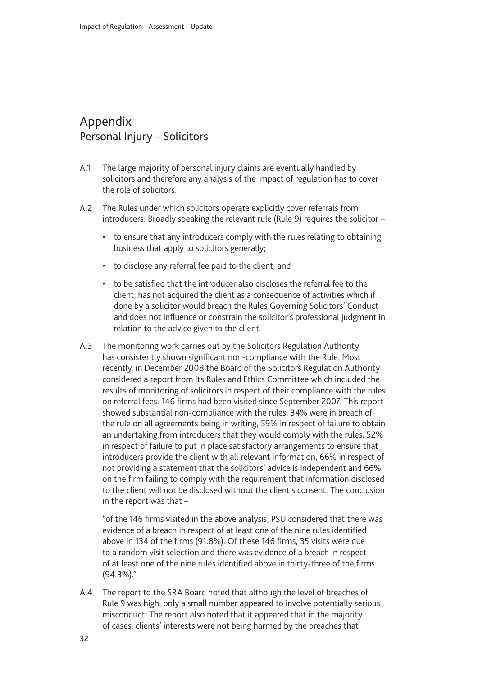### <span id="page-33-0"></span>Appendix Personal Injury – Solicitors

- A.1 The large majority of personal injury claims are eventually handled by solicitors and therefore any analysis of the impact of regulation has to cover the role of solicitors.
- A.2 The Rules under which solicitors operate explicitly cover referrals from introducers. Broadly speaking the relevant rule (Rule 9) requires the solicitor –
	- to ensure that any introducers comply with the rules relating to obtaining business that apply to solicitors generally;
	- to disclose any referral fee paid to the client; and
	- to be satisfied that the introducer also discloses the referral fee to the client; has not acquired the client as a consequence of activities which if done by a solicitor would breach the Rules Governing Solicitors' Conduct and does not influence or constrain the solicitor's professional judgment in relation to the advice given to the client.
- A.3 The monitoring work carries out by the Solicitors Regulation Authority has consistently shown significant non-compliance with the Rule. Most recently, in December 2008 the Board of the Solicitors Regulation Authority considered a report from its Rules and Ethics Committee which included the results of monitoring of solicitors in respect of their compliance with the rules on referral fees. 146 firms had been visited since September 2007. This report showed substantial non-compliance with the rules. 34% were in breach of the rule on all agreements being in writing, 59% in respect of failure to obtain an undertaking from introducers that they would comply with the rules, 52% in respect of failure to put in place satisfactory arrangements to ensure that introducers provide the client with all relevant information, 66% in respect of not providing a statement that the solicitors' advice is independent and 66% on the firm failing to comply with the requirement that information disclosed to the client will not be disclosed without the client's consent. The conclusion in the report was that –

"of the 146 firms visited in the above analysis, PSU considered that there was evidence of a breach in respect of at least one of the nine rules identified above in 134 of the firms (91.8%). Of these 146 firms, 35 visits were due to a random visit selection and there was evidence of a breach in respect of at least one of the nine rules identified above in thirty-three of the firms (94.3%)."

A.4 The report to the SRA Board noted that although the level of breaches of Rule 9 was high, only a small number appeared to involve potentially serious misconduct. The report also noted that it appeared that in the majority of cases, clients' interests were not being harmed by the breaches that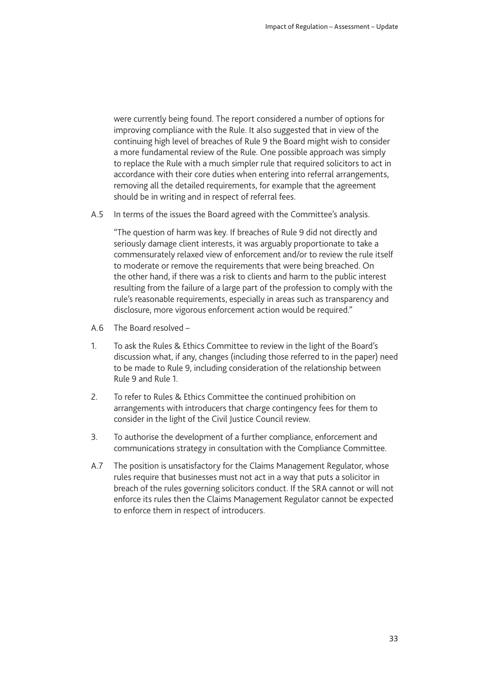were currently being found. The report considered a number of options for improving compliance with the Rule. It also suggested that in view of the continuing high level of breaches of Rule 9 the Board might wish to consider a more fundamental review of the Rule. One possible approach was simply to replace the Rule with a much simpler rule that required solicitors to act in accordance with their core duties when entering into referral arrangements, removing all the detailed requirements, for example that the agreement should be in writing and in respect of referral fees.

A.5 In terms of the issues the Board agreed with the Committee's analysis.

"The question of harm was key. If breaches of Rule 9 did not directly and seriously damage client interests, it was arguably proportionate to take a commensurately relaxed view of enforcement and/or to review the rule itself to moderate or remove the requirements that were being breached. On the other hand, if there was a risk to clients and harm to the public interest resulting from the failure of a large part of the profession to comply with the rule's reasonable requirements, especially in areas such as transparency and disclosure, more vigorous enforcement action would be required."

- A.6 The Board resolved –
- 1. To ask the Rules & Ethics Committee to review in the light of the Board's discussion what, if any, changes (including those referred to in the paper) need to be made to Rule 9, including consideration of the relationship between Rule 9 and Rule 1.
- 2. To refer to Rules & Ethics Committee the continued prohibition on arrangements with introducers that charge contingency fees for them to consider in the light of the Civil Justice Council review.
- 3. To authorise the development of a further compliance, enforcement and communications strategy in consultation with the Compliance Committee.
- A.7 The position is unsatisfactory for the Claims Management Regulator, whose rules require that businesses must not act in a way that puts a solicitor in breach of the rules governing solicitors conduct. If the SRA cannot or will not enforce its rules then the Claims Management Regulator cannot be expected to enforce them in respect of introducers.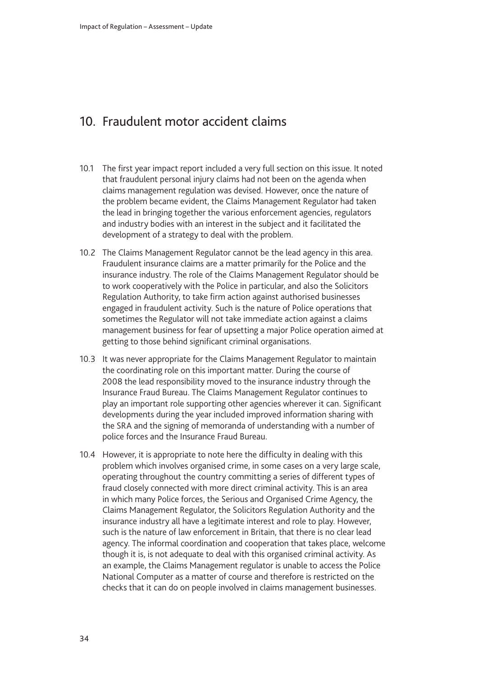### <span id="page-35-0"></span>10. Fraudulent motor accident claims

- 10.1 The first year impact report included a very full section on this issue. It noted that fraudulent personal injury claims had not been on the agenda when claims management regulation was devised. However, once the nature of the problem became evident, the Claims Management Regulator had taken the lead in bringing together the various enforcement agencies, regulators and industry bodies with an interest in the subject and it facilitated the development of a strategy to deal with the problem.
- 10.2 The Claims Management Regulator cannot be the lead agency in this area. Fraudulent insurance claims are a matter primarily for the Police and the insurance industry. The role of the Claims Management Regulator should be to work cooperatively with the Police in particular, and also the Solicitors Regulation Authority, to take firm action against authorised businesses engaged in fraudulent activity. Such is the nature of Police operations that sometimes the Regulator will not take immediate action against a claims management business for fear of upsetting a major Police operation aimed at getting to those behind significant criminal organisations.
- 10.3 It was never appropriate for the Claims Management Regulator to maintain the coordinating role on this important matter. During the course of 2008 the lead responsibility moved to the insurance industry through the Insurance Fraud Bureau. The Claims Management Regulator continues to play an important role supporting other agencies wherever it can. Significant developments during the year included improved information sharing with the SRA and the signing of memoranda of understanding with a number of police forces and the Insurance Fraud Bureau.
- 10.4 However, it is appropriate to note here the difficulty in dealing with this problem which involves organised crime, in some cases on a very large scale, operating throughout the country committing a series of different types of fraud closely connected with more direct criminal activity. This is an area in which many Police forces, the Serious and Organised Crime Agency, the Claims Management Regulator, the Solicitors Regulation Authority and the insurance industry all have a legitimate interest and role to play. However, such is the nature of law enforcement in Britain, that there is no clear lead agency. The informal coordination and cooperation that takes place, welcome though it is, is not adequate to deal with this organised criminal activity. As an example, the Claims Management regulator is unable to access the Police National Computer as a matter of course and therefore is restricted on the checks that it can do on people involved in claims management businesses.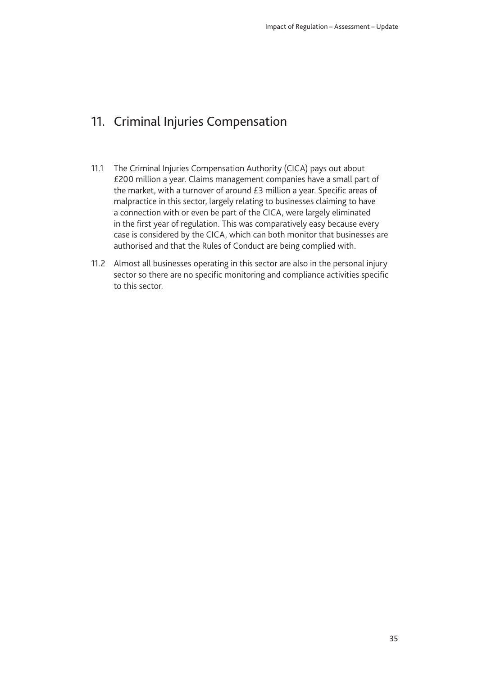# <span id="page-36-0"></span>11. Criminal Injuries Compensation

- 11.1 The Criminal Injuries Compensation Authority (CICA) pays out about £200 million a year. Claims management companies have a small part of the market, with a turnover of around £3 million a year. Specific areas of malpractice in this sector, largely relating to businesses claiming to have a connection with or even be part of the CICA, were largely eliminated in the first year of regulation. This was comparatively easy because every case is considered by the CICA, which can both monitor that businesses are authorised and that the Rules of Conduct are being complied with.
- 11.2 Almost all businesses operating in this sector are also in the personal injury sector so there are no specific monitoring and compliance activities specific to this sector.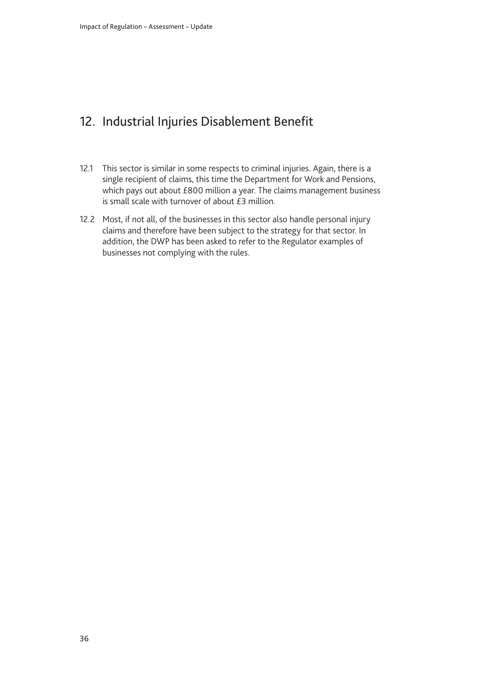# <span id="page-37-0"></span>12. Industrial Injuries Disablement Benefit

- 12.1 This sector is similar in some respects to criminal injuries. Again, there is a single recipient of claims, this time the Department for Work and Pensions, which pays out about £800 million a year. The claims management business is small scale with turnover of about £3 million.
- 12.2 Most, if not all, of the businesses in this sector also handle personal injury claims and therefore have been subject to the strategy for that sector. In addition, the DWP has been asked to refer to the Regulator examples of businesses not complying with the rules.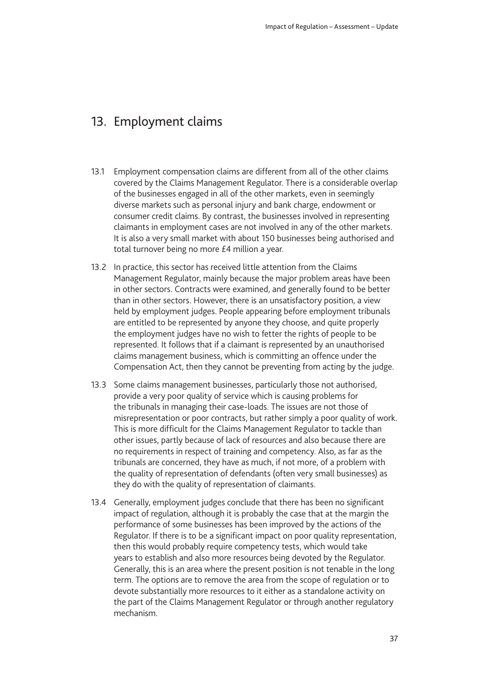### <span id="page-38-0"></span>13. Employment claims

- 13.1 Employment compensation claims are different from all of the other claims covered by the Claims Management Regulator. There is a considerable overlap of the businesses engaged in all of the other markets, even in seemingly diverse markets such as personal injury and bank charge, endowment or consumer credit claims. By contrast, the businesses involved in representing claimants in employment cases are not involved in any of the other markets. It is also a very small market with about 150 businesses being authorised and total turnover being no more £4 million a year.
- 13.2 In practice, this sector has received little attention from the Claims Management Regulator, mainly because the major problem areas have been in other sectors. Contracts were examined, and generally found to be better than in other sectors. However, there is an unsatisfactory position, a view held by employment judges. People appearing before employment tribunals are entitled to be represented by anyone they choose, and quite properly the employment judges have no wish to fetter the rights of people to be represented. It follows that if a claimant is represented by an unauthorised claims management business, which is committing an offence under the Compensation Act, then they cannot be preventing from acting by the judge.
- 13.3 Some claims management businesses, particularly those not authorised, provide a very poor quality of service which is causing problems for the tribunals in managing their case-loads. The issues are not those of misrepresentation or poor contracts, but rather simply a poor quality of work. This is more difficult for the Claims Management Regulator to tackle than other issues, partly because of lack of resources and also because there are no requirements in respect of training and competency. Also, as far as the tribunals are concerned, they have as much, if not more, of a problem with the quality of representation of defendants (often very small businesses) as they do with the quality of representation of claimants.
- 13.4 Generally, employment judges conclude that there has been no significant impact of regulation, although it is probably the case that at the margin the performance of some businesses has been improved by the actions of the Regulator. If there is to be a significant impact on poor quality representation, then this would probably require competency tests, which would take years to establish and also more resources being devoted by the Regulator. Generally, this is an area where the present position is not tenable in the long term. The options are to remove the area from the scope of regulation or to devote substantially more resources to it either as a standalone activity on the part of the Claims Management Regulator or through another regulatory mechanism.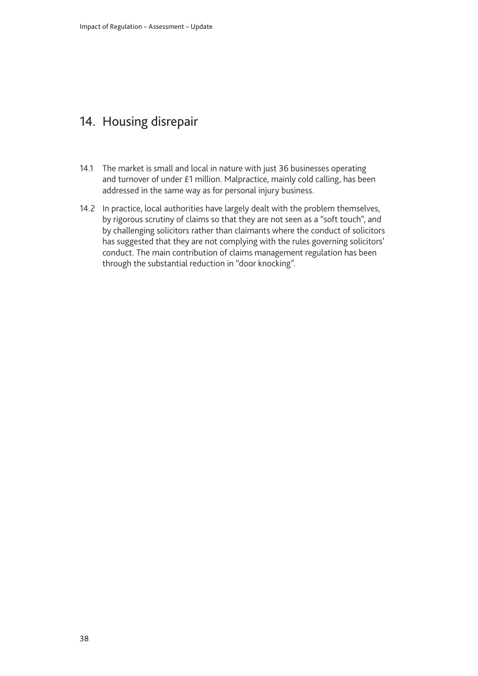# <span id="page-39-0"></span>14. Housing disrepair

- 14.1 The market is small and local in nature with just 36 businesses operating and turnover of under £1 million. Malpractice, mainly cold calling, has been addressed in the same way as for personal injury business.
- 14.2 In practice, local authorities have largely dealt with the problem themselves, by rigorous scrutiny of claims so that they are not seen as a "soft touch", and by challenging solicitors rather than claimants where the conduct of solicitors has suggested that they are not complying with the rules governing solicitors' conduct. The main contribution of claims management regulation has been through the substantial reduction in "door knocking".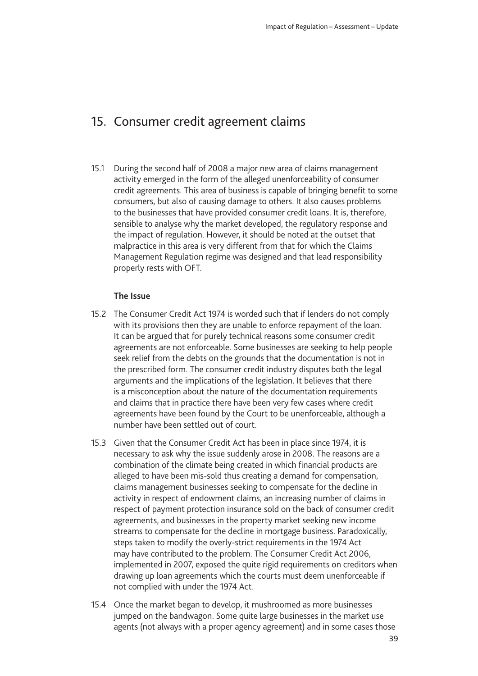### <span id="page-40-0"></span>15. Consumer credit agreement claims

15.1 During the second half of 2008 a major new area of claims management activity emerged in the form of the alleged unenforceability of consumer credit agreements. This area of business is capable of bringing benefit to some consumers, but also of causing damage to others. It also causes problems to the businesses that have provided consumer credit loans. It is, therefore, sensible to analyse why the market developed, the regulatory response and the impact of regulation. However, it should be noted at the outset that malpractice in this area is very different from that for which the Claims Management Regulation regime was designed and that lead responsibility properly rests with OFT.

#### **The Issue**

- 15.2 The Consumer Credit Act 1974 is worded such that if lenders do not comply with its provisions then they are unable to enforce repayment of the loan. It can be argued that for purely technical reasons some consumer credit agreements are not enforceable. Some businesses are seeking to help people seek relief from the debts on the grounds that the documentation is not in the prescribed form. The consumer credit industry disputes both the legal arguments and the implications of the legislation. It believes that there is a misconception about the nature of the documentation requirements and claims that in practice there have been very few cases where credit agreements have been found by the Court to be unenforceable, although a number have been settled out of court.
- 15.3 Given that the Consumer Credit Act has been in place since 1974, it is necessary to ask why the issue suddenly arose in 2008. The reasons are a combination of the climate being created in which financial products are alleged to have been mis-sold thus creating a demand for compensation, claims management businesses seeking to compensate for the decline in activity in respect of endowment claims, an increasing number of claims in respect of payment protection insurance sold on the back of consumer credit agreements, and businesses in the property market seeking new income streams to compensate for the decline in mortgage business. Paradoxically, steps taken to modify the overly-strict requirements in the 1974 Act may have contributed to the problem. The Consumer Credit Act 2006, implemented in 2007, exposed the quite rigid requirements on creditors when drawing up loan agreements which the courts must deem unenforceable if not complied with under the 1974 Act.
- 15.4 Once the market began to develop, it mushroomed as more businesses jumped on the bandwagon. Some quite large businesses in the market use agents (not always with a proper agency agreement) and in some cases those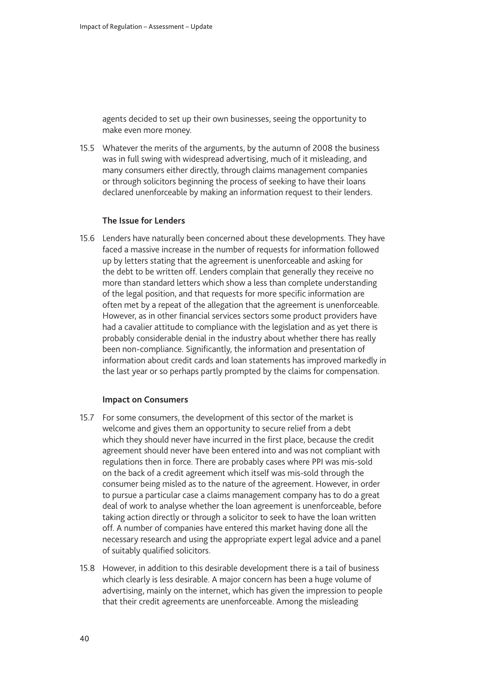agents decided to set up their own businesses, seeing the opportunity to make even more money.

15.5 Whatever the merits of the arguments, by the autumn of 2008 the business was in full swing with widespread advertising, much of it misleading, and many consumers either directly, through claims management companies or through solicitors beginning the process of seeking to have their loans declared unenforceable by making an information request to their lenders.

#### **The Issue for Lenders**

15.6 Lenders have naturally been concerned about these developments. They have faced a massive increase in the number of requests for information followed up by letters stating that the agreement is unenforceable and asking for the debt to be written off. Lenders complain that generally they receive no more than standard letters which show a less than complete understanding of the legal position, and that requests for more specific information are often met by a repeat of the allegation that the agreement is unenforceable. However, as in other financial services sectors some product providers have had a cavalier attitude to compliance with the legislation and as yet there is probably considerable denial in the industry about whether there has really been non-compliance. Significantly, the information and presentation of information about credit cards and loan statements has improved markedly in the last year or so perhaps partly prompted by the claims for compensation.

#### **Impact on Consumers**

- 15.7 For some consumers, the development of this sector of the market is welcome and gives them an opportunity to secure relief from a debt which they should never have incurred in the first place, because the credit agreement should never have been entered into and was not compliant with regulations then in force. There are probably cases where PPI was mis-sold on the back of a credit agreement which itself was mis-sold through the consumer being misled as to the nature of the agreement. However, in order to pursue a particular case a claims management company has to do a great deal of work to analyse whether the loan agreement is unenforceable, before taking action directly or through a solicitor to seek to have the loan written off. A number of companies have entered this market having done all the necessary research and using the appropriate expert legal advice and a panel of suitably qualified solicitors.
- 15.8 However, in addition to this desirable development there is a tail of business which clearly is less desirable. A major concern has been a huge volume of advertising, mainly on the internet, which has given the impression to people that their credit agreements are unenforceable. Among the misleading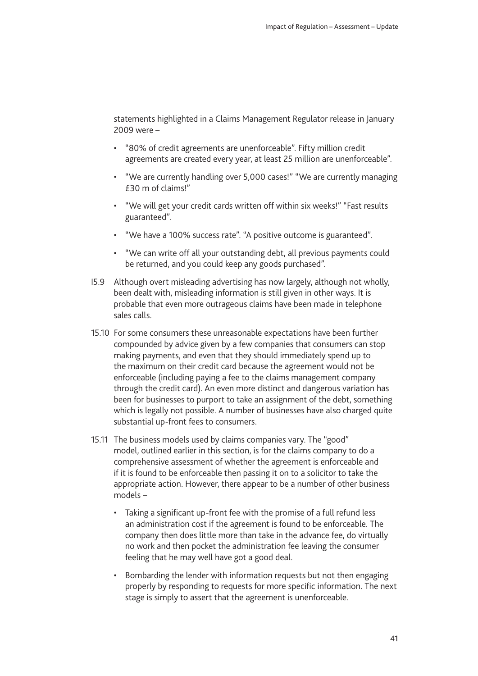statements highlighted in a Claims Management Regulator release in January 2009 were –

- "80% of credit agreements are unenforceable". Fifty million credit agreements are created every year, at least 25 million are unenforceable".
- "We are currently handling over 5,000 cases!" "We are currently managing £30 m of claims!"
- "We will get your credit cards written off within six weeks!" "Fast results guaranteed".
- "We have a 100% success rate". "A positive outcome is guaranteed".
- "We can write off all your outstanding debt, all previous payments could be returned, and you could keep any goods purchased".
- I5.9 Although overt misleading advertising has now largely, although not wholly, been dealt with, misleading information is still given in other ways. It is probable that even more outrageous claims have been made in telephone sales calls.
- 15.10 For some consumers these unreasonable expectations have been further compounded by advice given by a few companies that consumers can stop making payments, and even that they should immediately spend up to the maximum on their credit card because the agreement would not be enforceable (including paying a fee to the claims management company through the credit card). An even more distinct and dangerous variation has been for businesses to purport to take an assignment of the debt, something which is legally not possible. A number of businesses have also charged quite substantial up-front fees to consumers.
- 15.11 The business models used by claims companies vary. The "good" model, outlined earlier in this section, is for the claims company to do a comprehensive assessment of whether the agreement is enforceable and if it is found to be enforceable then passing it on to a solicitor to take the appropriate action. However, there appear to be a number of other business models –
	- Taking a significant up-front fee with the promise of a full refund less an administration cost if the agreement is found to be enforceable. The company then does little more than take in the advance fee, do virtually no work and then pocket the administration fee leaving the consumer feeling that he may well have got a good deal.
	- Bombarding the lender with information requests but not then engaging properly by responding to requests for more specific information. The next stage is simply to assert that the agreement is unenforceable.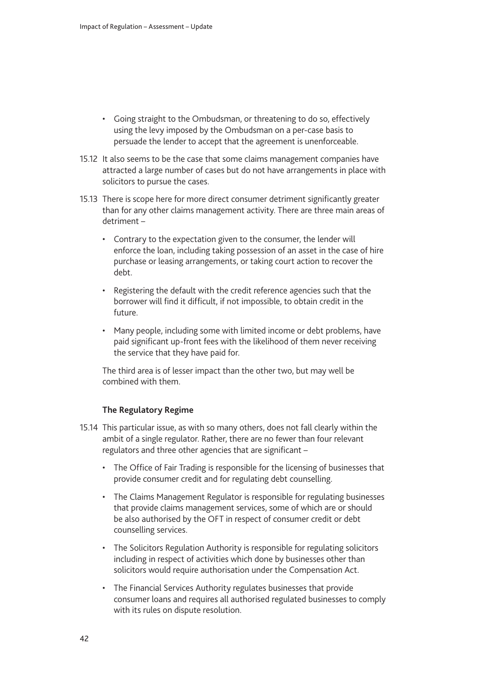- Going straight to the Ombudsman, or threatening to do so, effectively using the levy imposed by the Ombudsman on a per-case basis to persuade the lender to accept that the agreement is unenforceable.
- 15.12 It also seems to be the case that some claims management companies have attracted a large number of cases but do not have arrangements in place with solicitors to pursue the cases.
- 15.13 There is scope here for more direct consumer detriment significantly greater than for any other claims management activity. There are three main areas of detriment –
	- Contrary to the expectation given to the consumer, the lender will enforce the loan, including taking possession of an asset in the case of hire purchase or leasing arrangements, or taking court action to recover the debt.
	- Registering the default with the credit reference agencies such that the borrower will find it difficult, if not impossible, to obtain credit in the future.
	- Many people, including some with limited income or debt problems, have paid significant up-front fees with the likelihood of them never receiving the service that they have paid for.

The third area is of lesser impact than the other two, but may well be combined with them.

#### **The Regulatory Regime**

- 15.14 This particular issue, as with so many others, does not fall clearly within the ambit of a single regulator. Rather, there are no fewer than four relevant regulators and three other agencies that are significant –
	- The Office of Fair Trading is responsible for the licensing of businesses that provide consumer credit and for regulating debt counselling.
	- The Claims Management Regulator is responsible for regulating businesses that provide claims management services, some of which are or should be also authorised by the OFT in respect of consumer credit or debt counselling services.
	- The Solicitors Regulation Authority is responsible for regulating solicitors including in respect of activities which done by businesses other than solicitors would require authorisation under the Compensation Act.
	- The Financial Services Authority regulates businesses that provide consumer loans and requires all authorised regulated businesses to comply with its rules on dispute resolution.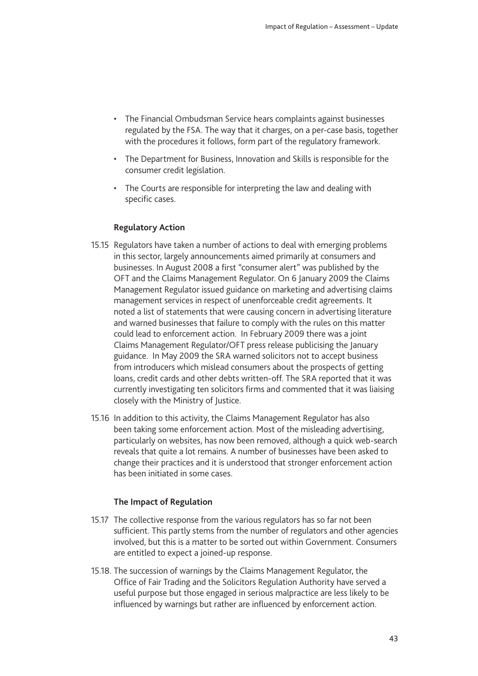- The Financial Ombudsman Service hears complaints against businesses regulated by the FSA. The way that it charges, on a per-case basis, together with the procedures it follows, form part of the regulatory framework.
- The Department for Business, Innovation and Skills is responsible for the consumer credit legislation.
- The Courts are responsible for interpreting the law and dealing with specific cases.

#### **Regulatory Action**

- 15.15 Regulators have taken a number of actions to deal with emerging problems in this sector, largely announcements aimed primarily at consumers and businesses. In August 2008 a first "consumer alert" was published by the OFT and the Claims Management Regulator. On 6 January 2009 the Claims Management Regulator issued guidance on marketing and advertising claims management services in respect of unenforceable credit agreements. It noted a list of statements that were causing concern in advertising literature and warned businesses that failure to comply with the rules on this matter could lead to enforcement action. In February 2009 there was a joint Claims Management Regulator/OFT press release publicising the January guidance. In May 2009 the SRA warned solicitors not to accept business from introducers which mislead consumers about the prospects of getting loans, credit cards and other debts written-off. The SRA reported that it was currently investigating ten solicitors firms and commented that it was liaising closely with the Ministry of Justice.
- 15.16 In addition to this activity, the Claims Management Regulator has also been taking some enforcement action. Most of the misleading advertising, particularly on websites, has now been removed, although a quick web-search reveals that quite a lot remains. A number of businesses have been asked to change their practices and it is understood that stronger enforcement action has been initiated in some cases.

#### **The Impact of Regulation**

- 15.17 The collective response from the various regulators has so far not been sufficient. This partly stems from the number of regulators and other agencies involved, but this is a matter to be sorted out within Government. Consumers are entitled to expect a joined-up response.
- 15.18. The succession of warnings by the Claims Management Regulator, the Office of Fair Trading and the Solicitors Regulation Authority have served a useful purpose but those engaged in serious malpractice are less likely to be influenced by warnings but rather are influenced by enforcement action.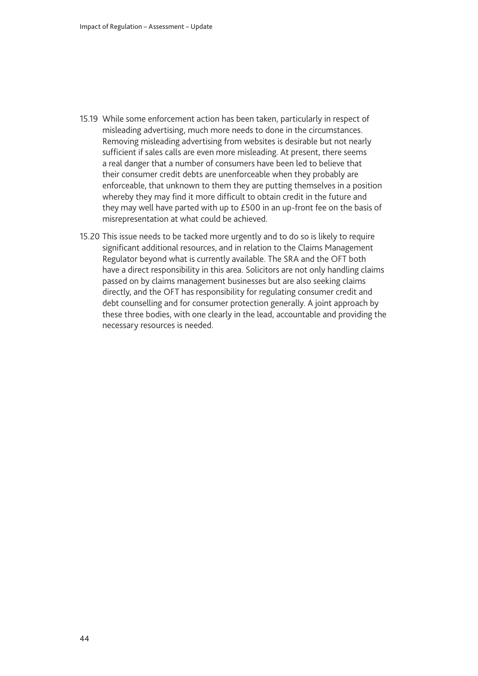- 15.19 While some enforcement action has been taken, particularly in respect of misleading advertising, much more needs to done in the circumstances. Removing misleading advertising from websites is desirable but not nearly sufficient if sales calls are even more misleading. At present, there seems a real danger that a number of consumers have been led to believe that their consumer credit debts are unenforceable when they probably are enforceable, that unknown to them they are putting themselves in a position whereby they may find it more difficult to obtain credit in the future and they may well have parted with up to £500 in an up-front fee on the basis of misrepresentation at what could be achieved.
- 15.20 This issue needs to be tacked more urgently and to do so is likely to require significant additional resources, and in relation to the Claims Management Regulator beyond what is currently available. The SRA and the OFT both have a direct responsibility in this area. Solicitors are not only handling claims passed on by claims management businesses but are also seeking claims directly, and the OFT has responsibility for regulating consumer credit and debt counselling and for consumer protection generally. A joint approach by these three bodies, with one clearly in the lead, accountable and providing the necessary resources is needed.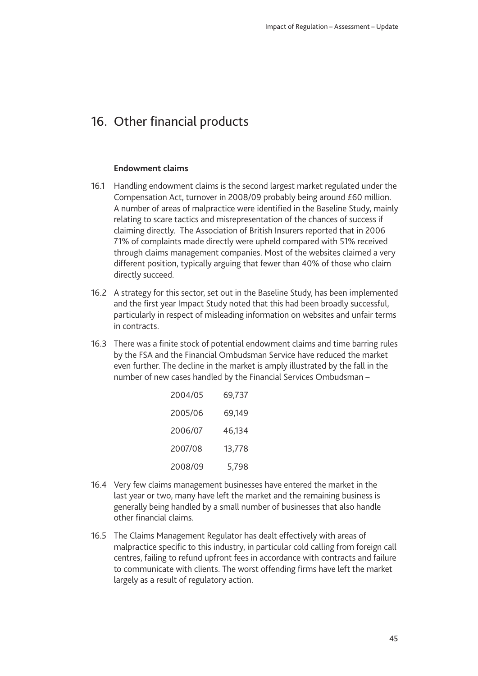### <span id="page-46-0"></span>16. Other financial products

#### **Endowment claims**

- 16.1 Handling endowment claims is the second largest market regulated under the Compensation Act, turnover in 2008/09 probably being around £60 million. A number of areas of malpractice were identified in the Baseline Study, mainly relating to scare tactics and misrepresentation of the chances of success if claiming directly. The Association of British Insurers reported that in 2006 71% of complaints made directly were upheld compared with 51% received through claims management companies. Most of the websites claimed a very different position, typically arguing that fewer than 40% of those who claim directly succeed.
- 16.2 A strategy for this sector, set out in the Baseline Study, has been implemented and the first year Impact Study noted that this had been broadly successful, particularly in respect of misleading information on websites and unfair terms in contracts.
- 16.3 There was a finite stock of potential endowment claims and time barring rules by the FSA and the Financial Ombudsman Service have reduced the market even further. The decline in the market is amply illustrated by the fall in the number of new cases handled by the Financial Services Ombudsman –

| 2004/05 | 69,737 |
|---------|--------|
| 2005/06 | 69,149 |
| 2006/07 | 46,134 |
| 2007/08 | 13,778 |
| 2008/09 | 5,798  |

- 16.4 Very few claims management businesses have entered the market in the last year or two, many have left the market and the remaining business is generally being handled by a small number of businesses that also handle other financial claims.
- 16.5 The Claims Management Regulator has dealt effectively with areas of malpractice specific to this industry, in particular cold calling from foreign call centres, failing to refund upfront fees in accordance with contracts and failure to communicate with clients. The worst offending firms have left the market largely as a result of regulatory action.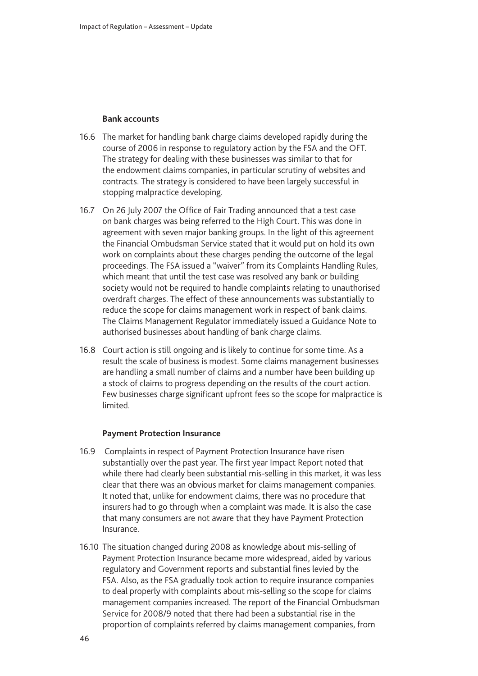#### **Bank accounts**

- 16.6 The market for handling bank charge claims developed rapidly during the course of 2006 in response to regulatory action by the FSA and the OFT. The strategy for dealing with these businesses was similar to that for the endowment claims companies, in particular scrutiny of websites and contracts. The strategy is considered to have been largely successful in stopping malpractice developing.
- 16.7 On 26 July 2007 the Office of Fair Trading announced that a test case on bank charges was being referred to the High Court. This was done in agreement with seven major banking groups. In the light of this agreement the Financial Ombudsman Service stated that it would put on hold its own work on complaints about these charges pending the outcome of the legal proceedings. The FSA issued a "waiver" from its Complaints Handling Rules, which meant that until the test case was resolved any bank or building society would not be required to handle complaints relating to unauthorised overdraft charges. The effect of these announcements was substantially to reduce the scope for claims management work in respect of bank claims. The Claims Management Regulator immediately issued a Guidance Note to authorised businesses about handling of bank charge claims.
- 16.8 Court action is still ongoing and is likely to continue for some time. As a result the scale of business is modest. Some claims management businesses are handling a small number of claims and a number have been building up a stock of claims to progress depending on the results of the court action. Few businesses charge significant upfront fees so the scope for malpractice is limited.

#### **Payment Protection Insurance**

- 16.9 Complaints in respect of Payment Protection Insurance have risen substantially over the past year. The first year Impact Report noted that while there had clearly been substantial mis-selling in this market, it was less clear that there was an obvious market for claims management companies. It noted that, unlike for endowment claims, there was no procedure that insurers had to go through when a complaint was made. It is also the case that many consumers are not aware that they have Payment Protection Insurance.
- 16.10 The situation changed during 2008 as knowledge about mis-selling of Payment Protection Insurance became more widespread, aided by various regulatory and Government reports and substantial fines levied by the FSA. Also, as the FSA gradually took action to require insurance companies to deal properly with complaints about mis-selling so the scope for claims management companies increased. The report of the Financial Ombudsman Service for 2008/9 noted that there had been a substantial rise in the proportion of complaints referred by claims management companies, from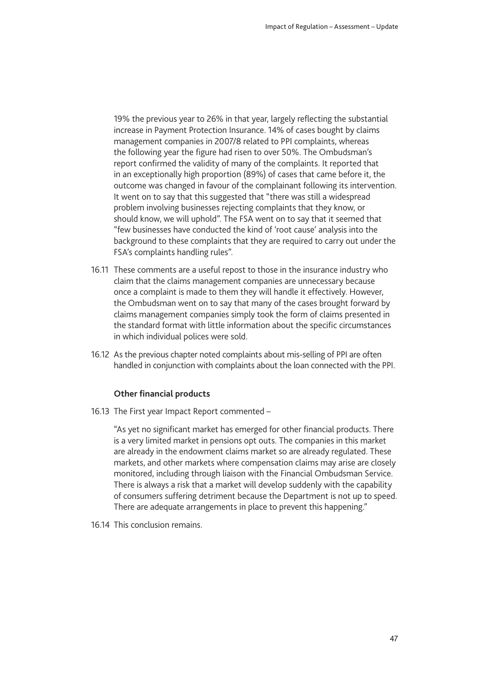19% the previous year to 26% in that year, largely reflecting the substantial increase in Payment Protection Insurance. 14% of cases bought by claims management companies in 2007/8 related to PPI complaints, whereas the following year the figure had risen to over 50%. The Ombudsman's report confirmed the validity of many of the complaints. It reported that in an exceptionally high proportion (89%) of cases that came before it, the outcome was changed in favour of the complainant following its intervention. It went on to say that this suggested that "there was still a widespread problem involving businesses rejecting complaints that they know, or should know, we will uphold". The FSA went on to say that it seemed that "few businesses have conducted the kind of 'root cause' analysis into the background to these complaints that they are required to carry out under the FSA's complaints handling rules".

- 16.11 These comments are a useful repost to those in the insurance industry who claim that the claims management companies are unnecessary because once a complaint is made to them they will handle it effectively. However, the Ombudsman went on to say that many of the cases brought forward by claims management companies simply took the form of claims presented in the standard format with little information about the specific circumstances in which individual polices were sold.
- 16.12 As the previous chapter noted complaints about mis-selling of PPI are often handled in conjunction with complaints about the loan connected with the PPI.

#### **Other financial products**

16.13 The First year Impact Report commented –

"As yet no significant market has emerged for other financial products. There is a very limited market in pensions opt outs. The companies in this market are already in the endowment claims market so are already regulated. These markets, and other markets where compensation claims may arise are closely monitored, including through liaison with the Financial Ombudsman Service. There is always a risk that a market will develop suddenly with the capability of consumers suffering detriment because the Department is not up to speed. There are adequate arrangements in place to prevent this happening."

16.14 This conclusion remains.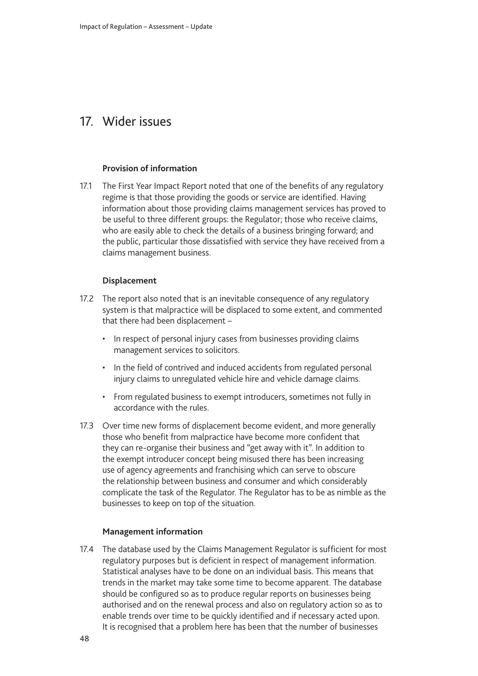### <span id="page-49-0"></span>17. Wider issues

#### **Provision of information**

17.1 The First Year Impact Report noted that one of the benefits of any regulatory regime is that those providing the goods or service are identified. Having information about those providing claims management services has proved to be useful to three different groups: the Regulator; those who receive claims, who are easily able to check the details of a business bringing forward; and the public, particular those dissatisfied with service they have received from a claims management business.

#### **Displacement**

- 17.2 The report also noted that is an inevitable consequence of any regulatory system is that malpractice will be displaced to some extent, and commented that there had been displacement –
	- In respect of personal injury cases from businesses providing claims management services to solicitors.
	- In the field of contrived and induced accidents from regulated personal injury claims to unregulated vehicle hire and vehicle damage claims.
	- From regulated business to exempt introducers, sometimes not fully in accordance with the rules.
- 17.3 Over time new forms of displacement become evident, and more generally those who benefit from malpractice have become more confident that they can re-organise their business and "get away with it". In addition to the exempt introducer concept being misused there has been increasing use of agency agreements and franchising which can serve to obscure the relationship between business and consumer and which considerably complicate the task of the Regulator. The Regulator has to be as nimble as the businesses to keep on top of the situation.

#### **Management information**

17.4 The database used by the Claims Management Regulator is sufficient for most regulatory purposes but is deficient in respect of management information. Statistical analyses have to be done on an individual basis. This means that trends in the market may take some time to become apparent. The database should be configured so as to produce regular reports on businesses being authorised and on the renewal process and also on regulatory action so as to enable trends over time to be quickly identified and if necessary acted upon. It is recognised that a problem here has been that the number of businesses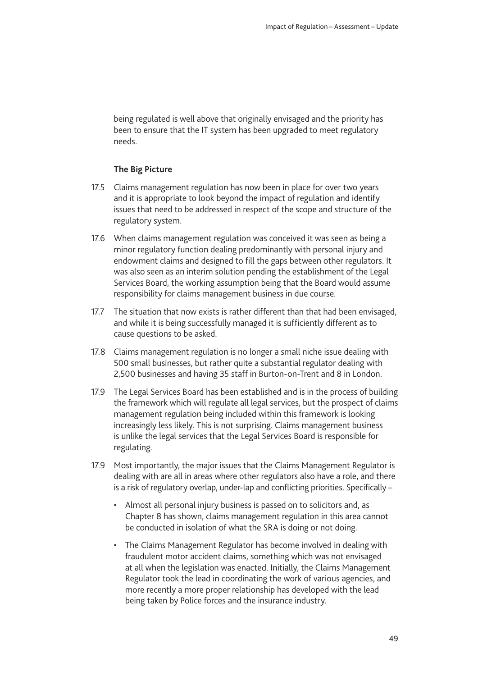being regulated is well above that originally envisaged and the priority has been to ensure that the IT system has been upgraded to meet regulatory needs.

#### **The Big Picture**

- 17.5 Claims management regulation has now been in place for over two years and it is appropriate to look beyond the impact of regulation and identify issues that need to be addressed in respect of the scope and structure of the regulatory system.
- 17.6 When claims management regulation was conceived it was seen as being a minor regulatory function dealing predominantly with personal injury and endowment claims and designed to fill the gaps between other regulators. It was also seen as an interim solution pending the establishment of the Legal Services Board, the working assumption being that the Board would assume responsibility for claims management business in due course.
- 17.7 The situation that now exists is rather different than that had been envisaged, and while it is being successfully managed it is sufficiently different as to cause questions to be asked.
- 17.8 Claims management regulation is no longer a small niche issue dealing with 500 small businesses, but rather quite a substantial regulator dealing with 2,500 businesses and having 35 staff in Burton-on-Trent and 8 in London.
- 17.9 The Legal Services Board has been established and is in the process of building the framework which will regulate all legal services, but the prospect of claims management regulation being included within this framework is looking increasingly less likely. This is not surprising. Claims management business is unlike the legal services that the Legal Services Board is responsible for regulating.
- 17.9 Most importantly, the major issues that the Claims Management Regulator is dealing with are all in areas where other regulators also have a role, and there is a risk of regulatory overlap, under-lap and conflicting priorities. Specifically –
	- Almost all personal injury business is passed on to solicitors and, as Chapter 8 has shown, claims management regulation in this area cannot be conducted in isolation of what the SRA is doing or not doing.
	- The Claims Management Regulator has become involved in dealing with fraudulent motor accident claims, something which was not envisaged at all when the legislation was enacted. Initially, the Claims Management Regulator took the lead in coordinating the work of various agencies, and more recently a more proper relationship has developed with the lead being taken by Police forces and the insurance industry.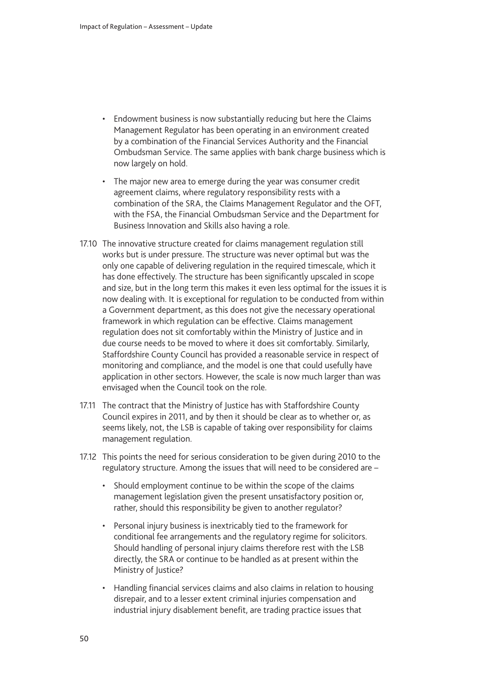- Endowment business is now substantially reducing but here the Claims Management Regulator has been operating in an environment created by a combination of the Financial Services Authority and the Financial Ombudsman Service. The same applies with bank charge business which is now largely on hold.
- The major new area to emerge during the year was consumer credit agreement claims, where regulatory responsibility rests with a combination of the SRA, the Claims Management Regulator and the OFT, with the FSA, the Financial Ombudsman Service and the Department for Business Innovation and Skills also having a role.
- 17.10 The innovative structure created for claims management regulation still works but is under pressure. The structure was never optimal but was the only one capable of delivering regulation in the required timescale, which it has done effectively. The structure has been significantly upscaled in scope and size, but in the long term this makes it even less optimal for the issues it is now dealing with. It is exceptional for regulation to be conducted from within a Government department, as this does not give the necessary operational framework in which regulation can be effective. Claims management regulation does not sit comfortably within the Ministry of Justice and in due course needs to be moved to where it does sit comfortably. Similarly, Staffordshire County Council has provided a reasonable service in respect of monitoring and compliance, and the model is one that could usefully have application in other sectors. However, the scale is now much larger than was envisaged when the Council took on the role.
- 17.11 The contract that the Ministry of Justice has with Staffordshire County Council expires in 2011, and by then it should be clear as to whether or, as seems likely, not, the LSB is capable of taking over responsibility for claims management regulation.
- 17.12 This points the need for serious consideration to be given during 2010 to the regulatory structure. Among the issues that will need to be considered are –
	- Should employment continue to be within the scope of the claims management legislation given the present unsatisfactory position or, rather, should this responsibility be given to another regulator?
	- Personal injury business is inextricably tied to the framework for conditional fee arrangements and the regulatory regime for solicitors. Should handling of personal injury claims therefore rest with the LSB directly, the SRA or continue to be handled as at present within the Ministry of Justice?
	- Handling financial services claims and also claims in relation to housing disrepair, and to a lesser extent criminal injuries compensation and industrial injury disablement benefit, are trading practice issues that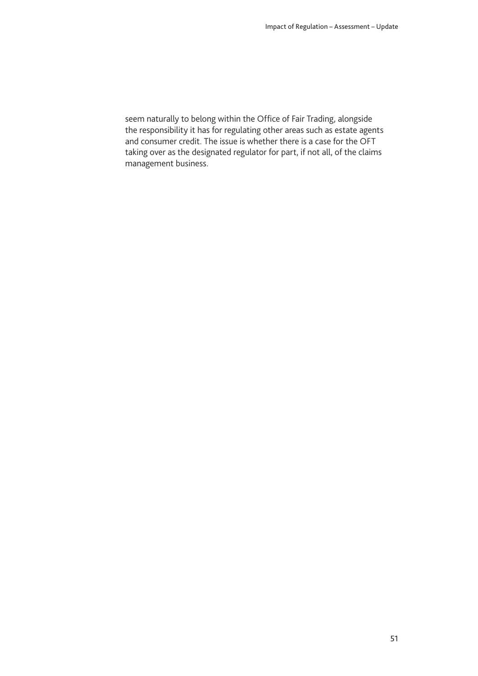seem naturally to belong within the Office of Fair Trading, alongside the responsibility it has for regulating other areas such as estate agents and consumer credit. The issue is whether there is a case for the OFT taking over as the designated regulator for part, if not all, of the claims management business.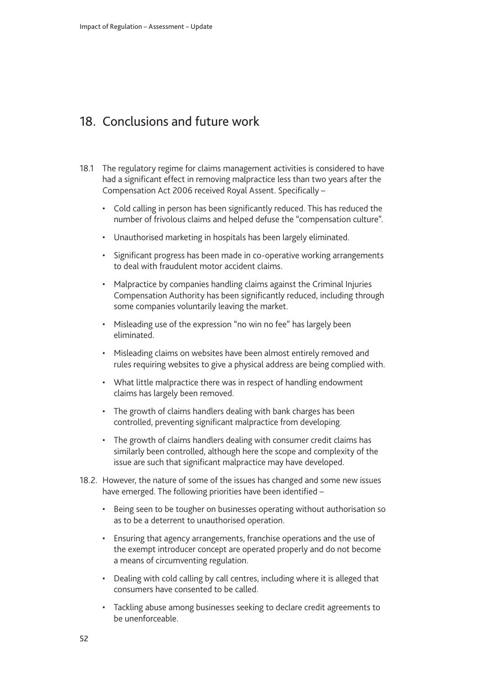### <span id="page-53-0"></span>18. Conclusions and future work

- 18.1 The regulatory regime for claims management activities is considered to have had a significant effect in removing malpractice less than two years after the Compensation Act 2006 received Royal Assent. Specifically –
	- Cold calling in person has been significantly reduced. This has reduced the number of frivolous claims and helped defuse the "compensation culture".
	- Unauthorised marketing in hospitals has been largely eliminated.
	- Significant progress has been made in co-operative working arrangements to deal with fraudulent motor accident claims.
	- Malpractice by companies handling claims against the Criminal Injuries Compensation Authority has been significantly reduced, including through some companies voluntarily leaving the market.
	- Misleading use of the expression "no win no fee" has largely been eliminated.
	- Misleading claims on websites have been almost entirely removed and rules requiring websites to give a physical address are being complied with.
	- What little malpractice there was in respect of handling endowment claims has largely been removed.
	- The growth of claims handlers dealing with bank charges has been controlled, preventing significant malpractice from developing.
	- The growth of claims handlers dealing with consumer credit claims has similarly been controlled, although here the scope and complexity of the issue are such that significant malpractice may have developed.
- 18.2. However, the nature of some of the issues has changed and some new issues have emerged. The following priorities have been identified –
	- Being seen to be tougher on businesses operating without authorisation so as to be a deterrent to unauthorised operation.
	- Ensuring that agency arrangements, franchise operations and the use of the exempt introducer concept are operated properly and do not become a means of circumventing regulation.
	- Dealing with cold calling by call centres, including where it is alleged that consumers have consented to be called.
	- Tackling abuse among businesses seeking to declare credit agreements to be unenforceable.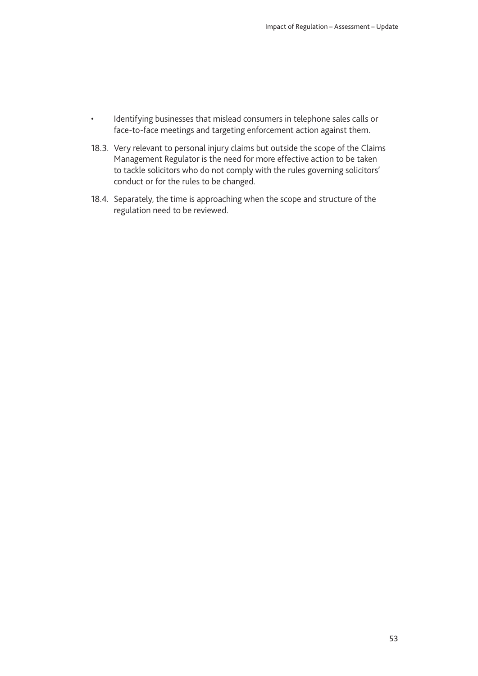- Identifying businesses that mislead consumers in telephone sales calls or face-to-face meetings and targeting enforcement action against them.
- 18.3. Very relevant to personal injury claims but outside the scope of the Claims Management Regulator is the need for more effective action to be taken to tackle solicitors who do not comply with the rules governing solicitors' conduct or for the rules to be changed.
- 18.4. Separately, the time is approaching when the scope and structure of the regulation need to be reviewed.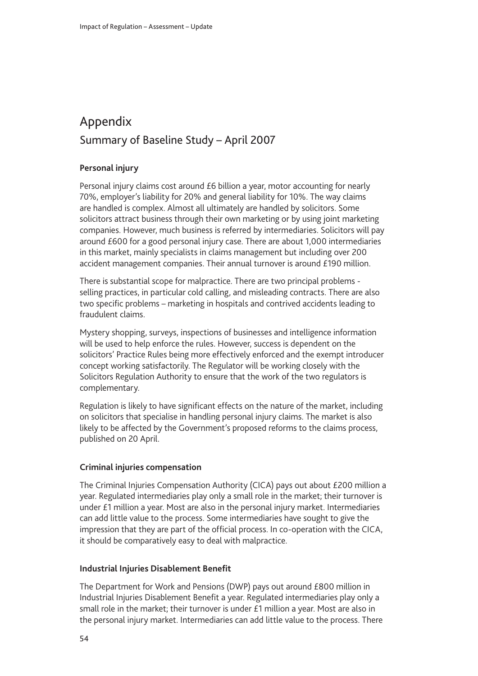# <span id="page-55-0"></span>Appendix Summary of Baseline Study – April 2007

#### **Personal injury**

Personal injury claims cost around £6 billion a year, motor accounting for nearly 70%, employer's liability for 20% and general liability for 10%. The way claims are handled is complex. Almost all ultimately are handled by solicitors. Some solicitors attract business through their own marketing or by using joint marketing companies. However, much business is referred by intermediaries. Solicitors will pay around £600 for a good personal injury case. There are about 1,000 intermediaries in this market, mainly specialists in claims management but including over 200 accident management companies. Their annual turnover is around £190 million.

There is substantial scope for malpractice. There are two principal problems selling practices, in particular cold calling, and misleading contracts. There are also two specific problems – marketing in hospitals and contrived accidents leading to fraudulent claims.

Mystery shopping, surveys, inspections of businesses and intelligence information will be used to help enforce the rules. However, success is dependent on the solicitors' Practice Rules being more effectively enforced and the exempt introducer concept working satisfactorily. The Regulator will be working closely with the Solicitors Regulation Authority to ensure that the work of the two regulators is complementary.

Regulation is likely to have significant effects on the nature of the market, including on solicitors that specialise in handling personal injury claims. The market is also likely to be affected by the Government's proposed reforms to the claims process, published on 20 April.

#### **Criminal injuries compensation**

The Criminal Injuries Compensation Authority (CICA) pays out about £200 million a year. Regulated intermediaries play only a small role in the market; their turnover is under £1 million a year. Most are also in the personal injury market. Intermediaries can add little value to the process. Some intermediaries have sought to give the impression that they are part of the official process. In co-operation with the CICA, it should be comparatively easy to deal with malpractice.

#### **Industrial Injuries Disablement Benefit**

The Department for Work and Pensions (DWP) pays out around £800 million in Industrial Injuries Disablement Benefit a year. Regulated intermediaries play only a small role in the market; their turnover is under £1 million a year. Most are also in the personal injury market. Intermediaries can add little value to the process. There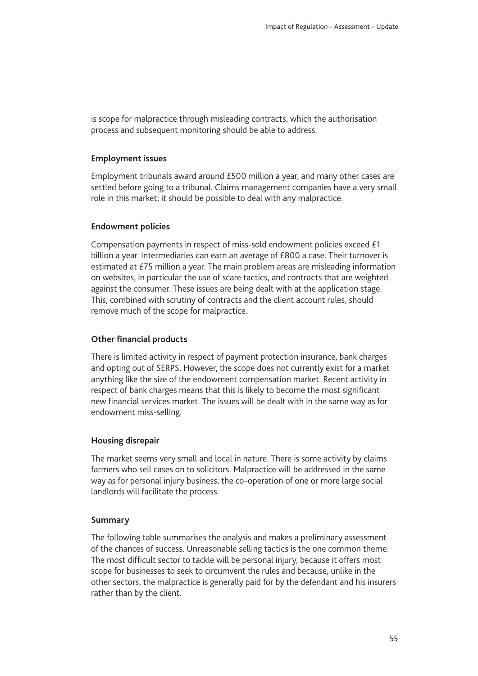is scope for malpractice through misleading contracts, which the authorisation process and subsequent monitoring should be able to address.

#### **Employment issues**

Employment tribunals award around £500 million a year, and many other cases are settled before going to a tribunal. Claims management companies have a very small role in this market; it should be possible to deal with any malpractice.

#### **Endowment policies**

Compensation payments in respect of miss-sold endowment policies exceed £1 billion a year. Intermediaries can earn an average of £800 a case. Their turnover is estimated at £75 million a year. The main problem areas are misleading information on websites, in particular the use of scare tactics, and contracts that are weighted against the consumer. These issues are being dealt with at the application stage. This, combined with scrutiny of contracts and the client account rules, should remove much of the scope for malpractice.

#### **Other financial products**

There is limited activity in respect of payment protection insurance, bank charges and opting out of SERPS. However, the scope does not currently exist for a market anything like the size of the endowment compensation market. Recent activity in respect of bank charges means that this is likely to become the most significant new financial services market. The issues will be dealt with in the same way as for endowment miss-selling.

#### **Housing disrepair**

The market seems very small and local in nature. There is some activity by claims farmers who sell cases on to solicitors. Malpractice will be addressed in the same way as for personal injury business; the co-operation of one or more large social landlords will facilitate the process.

#### **Summary**

The following table summarises the analysis and makes a preliminary assessment of the chances of success. Unreasonable selling tactics is the one common theme. The most difficult sector to tackle will be personal injury, because it offers most scope for businesses to seek to circumvent the rules and because, unlike in the other sectors, the malpractice is generally paid for by the defendant and his insurers rather than by the client.